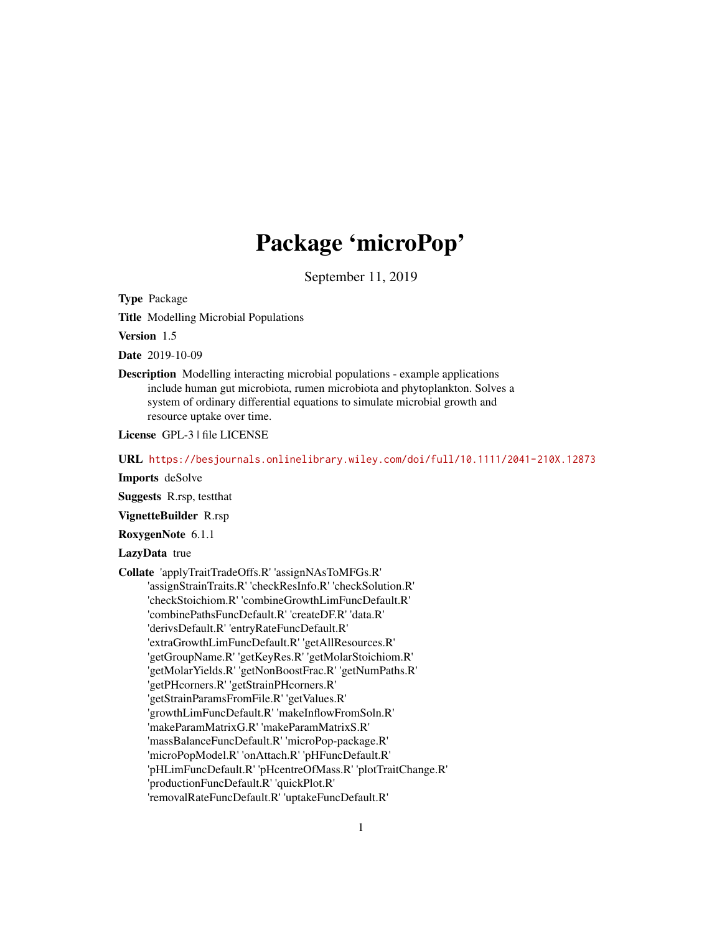# Package 'microPop'

September 11, 2019

Type Package

Title Modelling Microbial Populations

Version 1.5

Date 2019-10-09

Description Modelling interacting microbial populations - example applications include human gut microbiota, rumen microbiota and phytoplankton. Solves a system of ordinary differential equations to simulate microbial growth and resource uptake over time.

License GPL-3 | file LICENSE

URL <https://besjournals.onlinelibrary.wiley.com/doi/full/10.1111/2041-210X.12873>

Imports deSolve

Suggests R.rsp, testthat

VignetteBuilder R.rsp

RoxygenNote 6.1.1

LazyData true

Collate 'applyTraitTradeOffs.R' 'assignNAsToMFGs.R' 'assignStrainTraits.R' 'checkResInfo.R' 'checkSolution.R' 'checkStoichiom.R' 'combineGrowthLimFuncDefault.R' 'combinePathsFuncDefault.R' 'createDF.R' 'data.R' 'derivsDefault.R' 'entryRateFuncDefault.R' 'extraGrowthLimFuncDefault.R' 'getAllResources.R' 'getGroupName.R' 'getKeyRes.R' 'getMolarStoichiom.R' 'getMolarYields.R' 'getNonBoostFrac.R' 'getNumPaths.R' 'getPHcorners.R' 'getStrainPHcorners.R' 'getStrainParamsFromFile.R' 'getValues.R' 'growthLimFuncDefault.R' 'makeInflowFromSoln.R' 'makeParamMatrixG.R' 'makeParamMatrixS.R' 'massBalanceFuncDefault.R' 'microPop-package.R' 'microPopModel.R' 'onAttach.R' 'pHFuncDefault.R' 'pHLimFuncDefault.R' 'pHcentreOfMass.R' 'plotTraitChange.R' 'productionFuncDefault.R' 'quickPlot.R' 'removalRateFuncDefault.R' 'uptakeFuncDefault.R'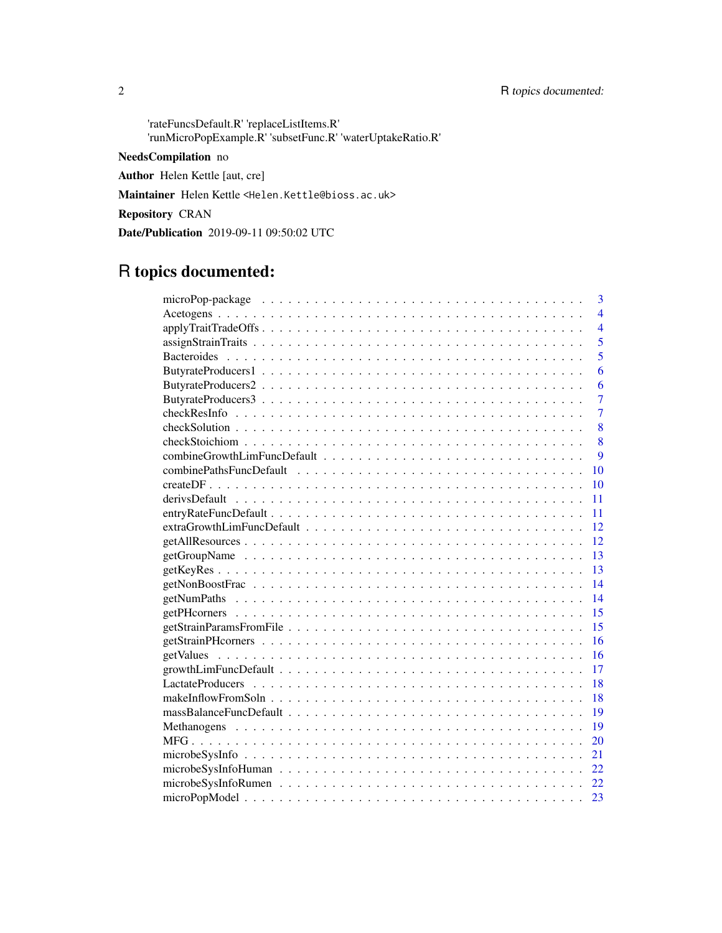'rateFuncsDefault.R' 'replaceListItems.R' 'runMicroPopExample.R' 'subsetFunc.R' 'waterUptakeRatio.R'

## NeedsCompilation no

Author Helen Kettle [aut, cre]

Maintainer Helen Kettle <Helen.Kettle@bioss.ac.uk>

Repository CRAN

Date/Publication 2019-09-11 09:50:02 UTC

## R topics documented:

| 3              |
|----------------|
| $\overline{4}$ |
| $\overline{4}$ |
| 5              |
| $\overline{5}$ |
| 6              |
| 6              |
| $\overline{7}$ |
| 7              |
| 8              |
| 8              |
| 9              |
| 10             |
| 10             |
| 11             |
| 11             |
| 12             |
| 12             |
| 13             |
| 13             |
| 14             |
| 14             |
| 15             |
| 15             |
| 16             |
| 16             |
| 17             |
| 18             |
| 18             |
| 19             |
| 19             |
| 20             |
| 21             |
| 22.            |
| 22             |
| 23             |
|                |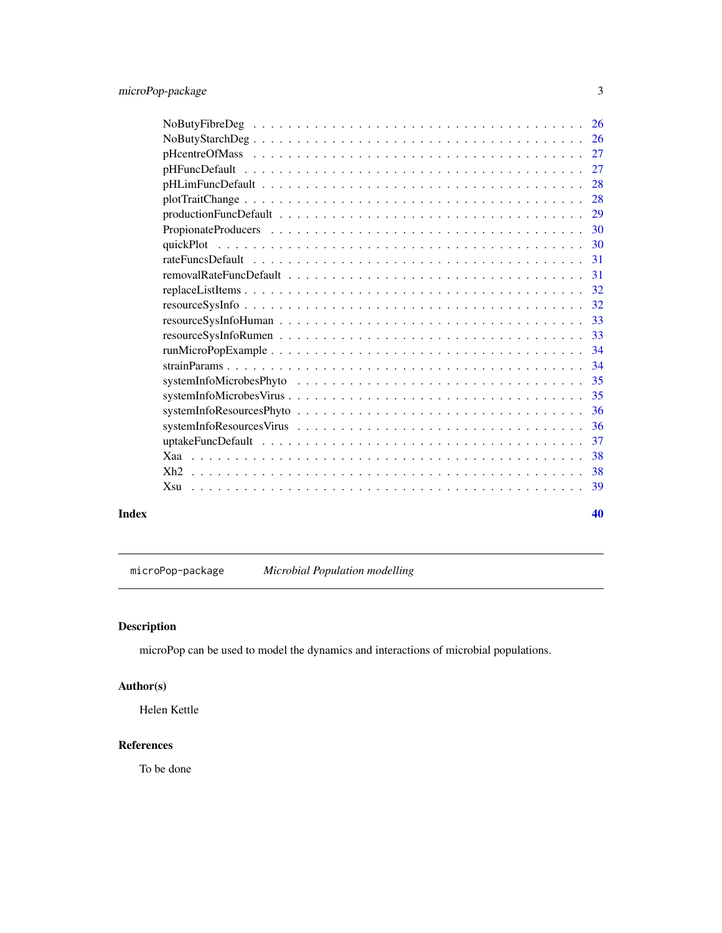<span id="page-2-0"></span>

| $NoButyFibreDeg \ldots \ldots \ldots \ldots \ldots \ldots \ldots \ldots \ldots \ldots \ldots$<br>26 |
|-----------------------------------------------------------------------------------------------------|
| 26                                                                                                  |
| 27                                                                                                  |
| 27                                                                                                  |
| 28                                                                                                  |
| 28                                                                                                  |
| 29                                                                                                  |
| 30                                                                                                  |
| -30                                                                                                 |
| -31                                                                                                 |
| -31                                                                                                 |
| 32                                                                                                  |
| 32                                                                                                  |
| 33                                                                                                  |
| 33                                                                                                  |
| 34                                                                                                  |
| 34                                                                                                  |
| 35                                                                                                  |
| 35                                                                                                  |
| -36                                                                                                 |
| 36                                                                                                  |
| 37                                                                                                  |
| 38                                                                                                  |
| 38                                                                                                  |
| 39<br>$X_{S11}$                                                                                     |
|                                                                                                     |

#### $\blacksquare$

microPop-package *Microbial Population modelling*

### Description

microPop can be used to model the dynamics and interactions of microbial populations.

### Author(s)

Helen Kettle

### References

To be done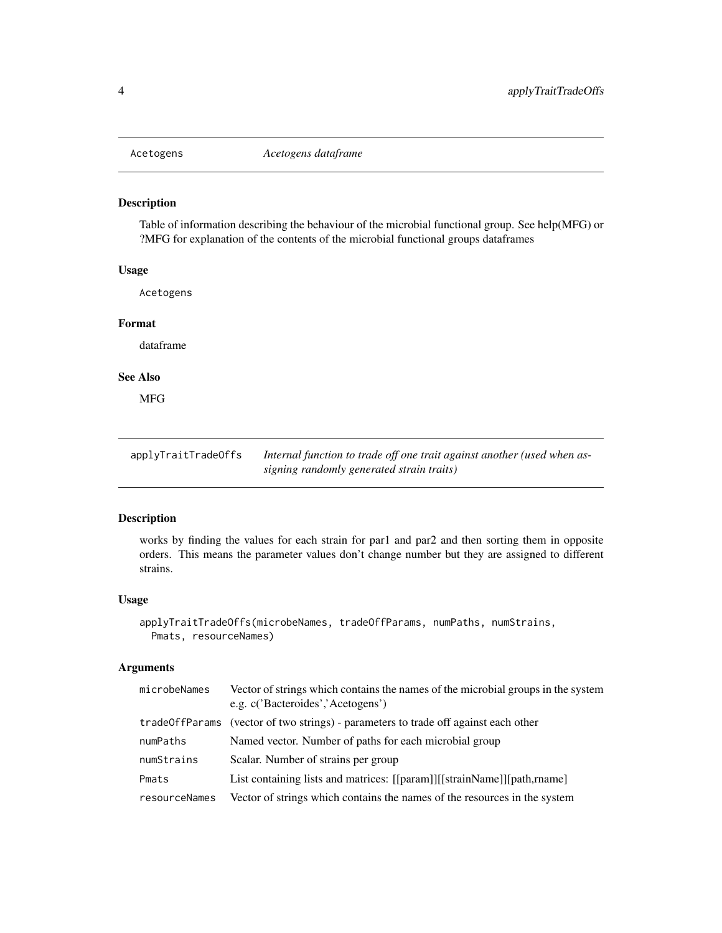<span id="page-3-0"></span>

Table of information describing the behaviour of the microbial functional group. See help(MFG) or ?MFG for explanation of the contents of the microbial functional groups dataframes

#### Usage

Acetogens

#### Format

dataframe

### See Also

MFG

applyTraitTradeOffs *Internal function to trade off one trait against another (used when assigning randomly generated strain traits)*

### Description

works by finding the values for each strain for par1 and par2 and then sorting them in opposite orders. This means the parameter values don't change number but they are assigned to different strains.

#### Usage

```
applyTraitTradeOffs(microbeNames, tradeOffParams, numPaths, numStrains,
 Pmats, resourceNames)
```
#### Arguments

| microbeNames  | Vector of strings which contains the names of the microbial groups in the system<br>e.g. c('Bacteroides','Acetogens') |
|---------------|-----------------------------------------------------------------------------------------------------------------------|
|               | trade0ffParams (vector of two strings) - parameters to trade off against each other                                   |
| numPaths      | Named vector. Number of paths for each microbial group                                                                |
| numStrains    | Scalar. Number of strains per group                                                                                   |
| Pmats         | List containing lists and matrices: [[param]][[strainName]][path,rname]                                               |
| resourceNames | Vector of strings which contains the names of the resources in the system                                             |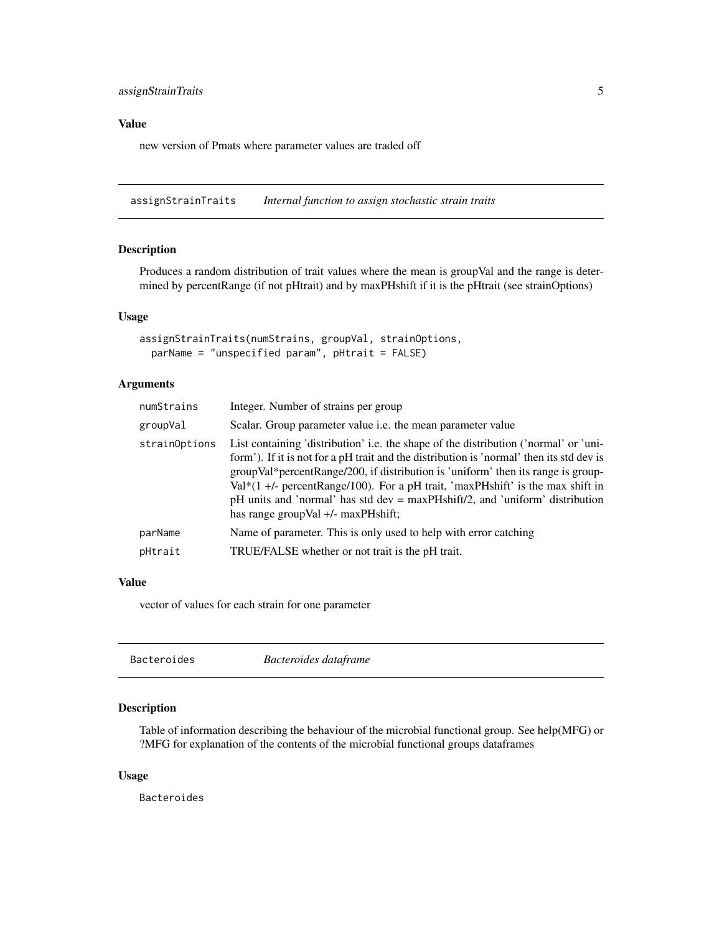### <span id="page-4-0"></span>Value

new version of Pmats where parameter values are traded off

assignStrainTraits *Internal function to assign stochastic strain traits*

### Description

Produces a random distribution of trait values where the mean is groupVal and the range is determined by percentRange (if not pHtrait) and by maxPHshift if it is the pHtrait (see strainOptions)

### Usage

```
assignStrainTraits(numStrains, groupVal, strainOptions,
 parName = "unspecified param", pHtrait = FALSE)
```
### Arguments

| numStrains    | Integer. Number of strains per group                                                                                                                                                                                                                                                                                                                                                                                                                                              |
|---------------|-----------------------------------------------------------------------------------------------------------------------------------------------------------------------------------------------------------------------------------------------------------------------------------------------------------------------------------------------------------------------------------------------------------------------------------------------------------------------------------|
| groupVal      | Scalar. Group parameter value <i>i.e.</i> the mean parameter value                                                                                                                                                                                                                                                                                                                                                                                                                |
| strainOptions | List containing 'distribution' i.e. the shape of the distribution ('normal' or 'uni-<br>form'). If it is not for a pH trait and the distribution is 'normal' then its std dev is<br>groupVal*percentRange/200, if distribution is 'uniform' then its range is group-<br>Val $*(1 +$ /- percentRange/100). For a pH trait, 'maxPHshift' is the max shift in<br>pH units and 'normal' has std dev = maxPHshift/2, and 'uniform' distribution<br>has range group Val +/- maxPHshift; |
| parName       | Name of parameter. This is only used to help with error catching                                                                                                                                                                                                                                                                                                                                                                                                                  |
| pHtrait       | TRUE/FALSE whether or not trait is the pH trait.                                                                                                                                                                                                                                                                                                                                                                                                                                  |
|               |                                                                                                                                                                                                                                                                                                                                                                                                                                                                                   |

### Value

vector of values for each strain for one parameter

| Bacteroides | Bacteroides dataframe |  |
|-------------|-----------------------|--|
|             |                       |  |

### Description

Table of information describing the behaviour of the microbial functional group. See help(MFG) or ?MFG for explanation of the contents of the microbial functional groups dataframes

#### Usage

Bacteroides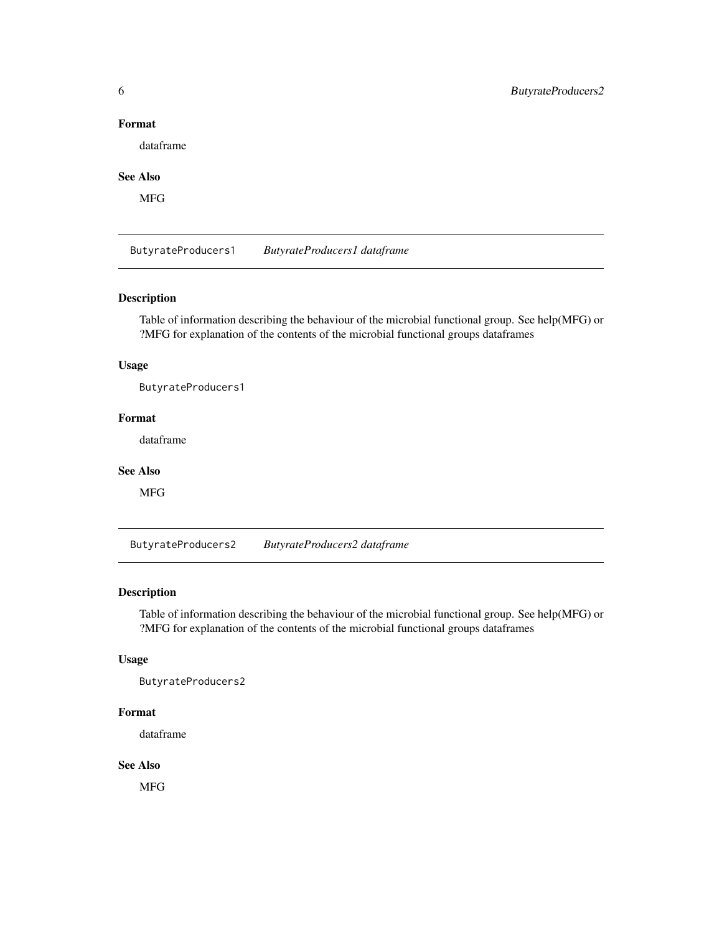### <span id="page-5-0"></span>Format

dataframe

### See Also

MFG

ButyrateProducers1 *ButyrateProducers1 dataframe*

### Description

Table of information describing the behaviour of the microbial functional group. See help(MFG) or ?MFG for explanation of the contents of the microbial functional groups dataframes

### Usage

ButyrateProducers1

### Format

dataframe

#### See Also

MFG

ButyrateProducers2 *ButyrateProducers2 dataframe*

### Description

Table of information describing the behaviour of the microbial functional group. See help(MFG) or ?MFG for explanation of the contents of the microbial functional groups dataframes

### Usage

ButyrateProducers2

#### Format

dataframe

#### See Also

**MFG**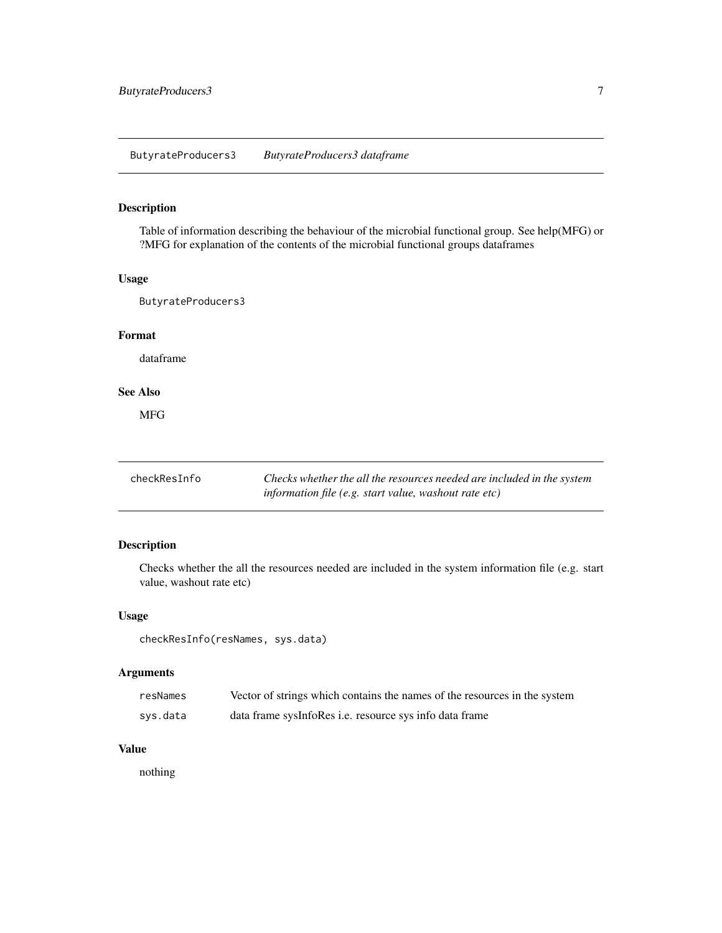### <span id="page-6-0"></span>ButyrateProducers3 *ButyrateProducers3 dataframe*

### Description

Table of information describing the behaviour of the microbial functional group. See help(MFG) or ?MFG for explanation of the contents of the microbial functional groups dataframes

#### Usage

ButyrateProducers3

#### Format

dataframe

#### See Also

MFG

| checkResInfo | Checks whether the all the resources needed are included in the system |
|--------------|------------------------------------------------------------------------|
|              | information file (e.g. start value, washout rate etc)                  |

#### Description

Checks whether the all the resources needed are included in the system information file (e.g. start value, washout rate etc)

#### Usage

checkResInfo(resNames, sys.data)

### Arguments

| resNames | Vector of strings which contains the names of the resources in the system |
|----------|---------------------------------------------------------------------------|
| sys.data | data frame sysInfoRes <i>i.e.</i> resource sys info data frame            |

#### Value

nothing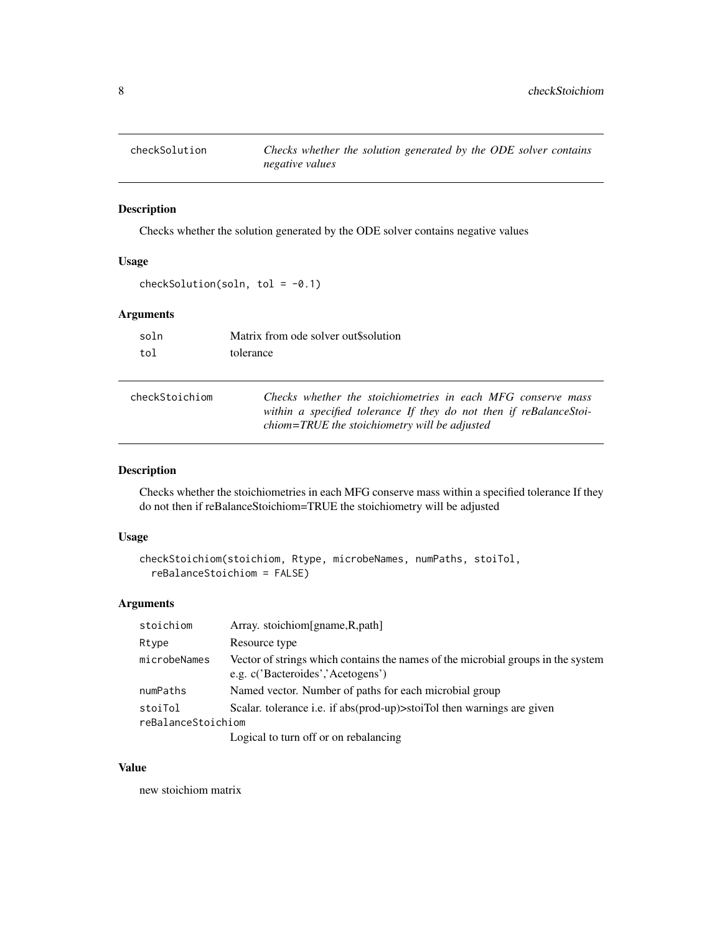<span id="page-7-0"></span>

Checks whether the solution generated by the ODE solver contains negative values

### Usage

checkSolution(soln, tol =  $-0.1$ )

### Arguments

| soln | Matrix from ode solver out Ssolution |
|------|--------------------------------------|
| tol  | tolerance                            |

| checkStoichiom | Checks whether the stoichiometries in each MFG conserve mass       |
|----------------|--------------------------------------------------------------------|
|                | within a specified tolerance If they do not then if reBalanceStoi- |
|                | chiom=TRUE the stoichiometry will be adjusted                      |

### Description

Checks whether the stoichiometries in each MFG conserve mass within a specified tolerance If they do not then if reBalanceStoichiom=TRUE the stoichiometry will be adjusted

### Usage

```
checkStoichiom(stoichiom, Rtype, microbeNames, numPaths, stoiTol,
  reBalanceStoichiom = FALSE)
```
### Arguments

| stoichiom          | Array. stoichiom[gname, R, path]                                                                                      |
|--------------------|-----------------------------------------------------------------------------------------------------------------------|
| Rtype              | Resource type                                                                                                         |
| microbeNames       | Vector of strings which contains the names of the microbial groups in the system<br>e.g. c('Bacteroides','Acetogens') |
| numPaths           | Named vector. Number of paths for each microbial group                                                                |
| stoiTol            | Scalar. tolerance i.e. if abs(prod-up)>stoiTol then warnings are given                                                |
| reBalanceStoichiom |                                                                                                                       |
|                    | Logical to turn off or on rebalancing                                                                                 |

#### Value

new stoichiom matrix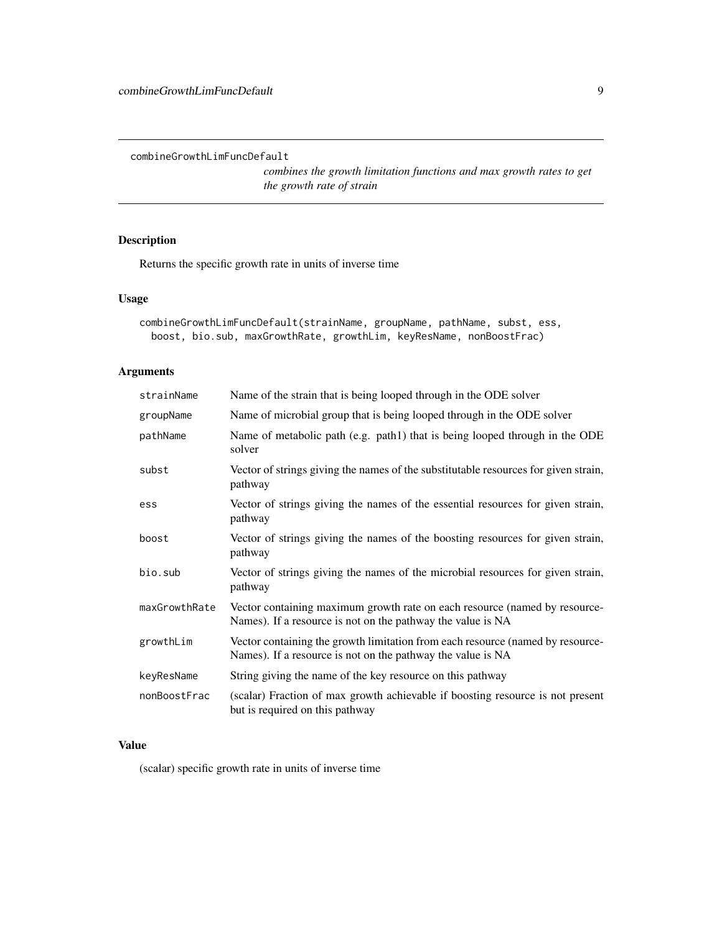<span id="page-8-0"></span>combineGrowthLimFuncDefault

*combines the growth limitation functions and max growth rates to get the growth rate of strain*

### Description

Returns the specific growth rate in units of inverse time

### Usage

```
combineGrowthLimFuncDefault(strainName, groupName, pathName, subst, ess,
 boost, bio.sub, maxGrowthRate, growthLim, keyResName, nonBoostFrac)
```
### Arguments

| strainName    | Name of the strain that is being looped through in the ODE solver                                                                             |
|---------------|-----------------------------------------------------------------------------------------------------------------------------------------------|
| groupName     | Name of microbial group that is being looped through in the ODE solver                                                                        |
| pathName      | Name of metabolic path (e.g. path1) that is being looped through in the ODE<br>solver                                                         |
| subst         | Vector of strings giving the names of the substitutable resources for given strain,<br>pathway                                                |
| ess           | Vector of strings giving the names of the essential resources for given strain,<br>pathway                                                    |
| boost         | Vector of strings giving the names of the boosting resources for given strain,<br>pathway                                                     |
| bio.sub       | Vector of strings giving the names of the microbial resources for given strain,<br>pathway                                                    |
| maxGrowthRate | Vector containing maximum growth rate on each resource (named by resource-<br>Names). If a resource is not on the pathway the value is NA     |
| growthLim     | Vector containing the growth limitation from each resource (named by resource-<br>Names). If a resource is not on the pathway the value is NA |
| keyResName    | String giving the name of the key resource on this pathway                                                                                    |
| nonBoostFrac  | (scalar) Fraction of max growth achievable if boosting resource is not present<br>but is required on this pathway                             |

### Value

(scalar) specific growth rate in units of inverse time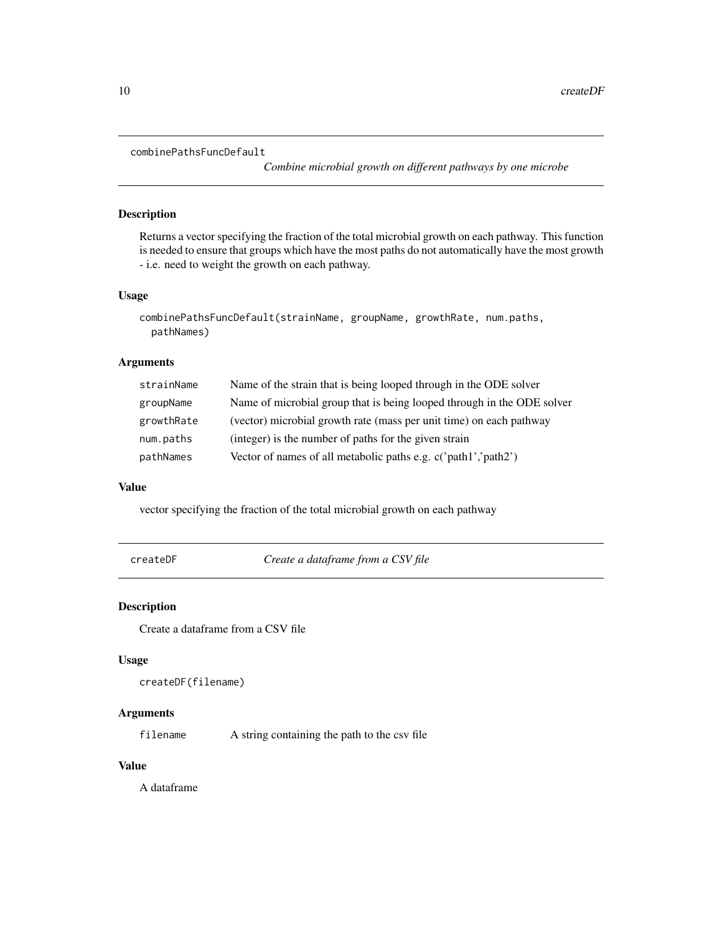#### <span id="page-9-0"></span>combinePathsFuncDefault

*Combine microbial growth on different pathways by one microbe*

### Description

Returns a vector specifying the fraction of the total microbial growth on each pathway. This function is needed to ensure that groups which have the most paths do not automatically have the most growth - i.e. need to weight the growth on each pathway.

#### Usage

```
combinePathsFuncDefault(strainName, groupName, growthRate, num.paths,
 pathNames)
```
### Arguments

| strainName | Name of the strain that is being looped through in the ODE solver      |
|------------|------------------------------------------------------------------------|
| groupName  | Name of microbial group that is being looped through in the ODE solver |
| growthRate | (vector) microbial growth rate (mass per unit time) on each pathway    |
| num.paths  | (integer) is the number of paths for the given strain                  |
| pathNames  | Vector of names of all metabolic paths e.g. c('path1','path2')         |

#### Value

vector specifying the fraction of the total microbial growth on each pathway

createDF *Create a dataframe from a CSV file*

#### Description

Create a dataframe from a CSV file

#### Usage

```
createDF(filename)
```
#### Arguments

filename A string containing the path to the csv file

### Value

A dataframe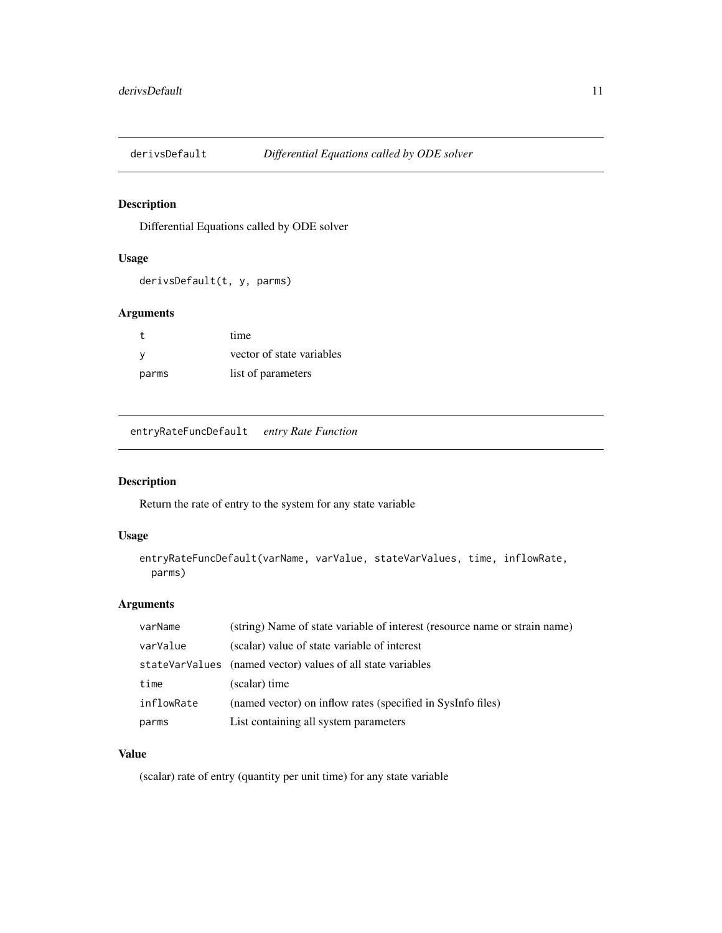<span id="page-10-0"></span>

Differential Equations called by ODE solver

### Usage

derivsDefault(t, y, parms)

### Arguments

|       | time                      |
|-------|---------------------------|
| - V   | vector of state variables |
| parms | list of parameters        |

entryRateFuncDefault *entry Rate Function*

### Description

Return the rate of entry to the system for any state variable

### Usage

```
entryRateFuncDefault(varName, varValue, stateVarValues, time, inflowRate,
 parms)
```
### Arguments

| varName    | (string) Name of state variable of interest (resource name or strain name) |
|------------|----------------------------------------------------------------------------|
| varValue   | (scalar) value of state variable of interest                               |
|            | stateVarValues (named vector) values of all state variables                |
| time       | (scalar) time                                                              |
| inflowRate | (named vector) on inflow rates (specified in SysInfo files)                |
| parms      | List containing all system parameters                                      |

### Value

(scalar) rate of entry (quantity per unit time) for any state variable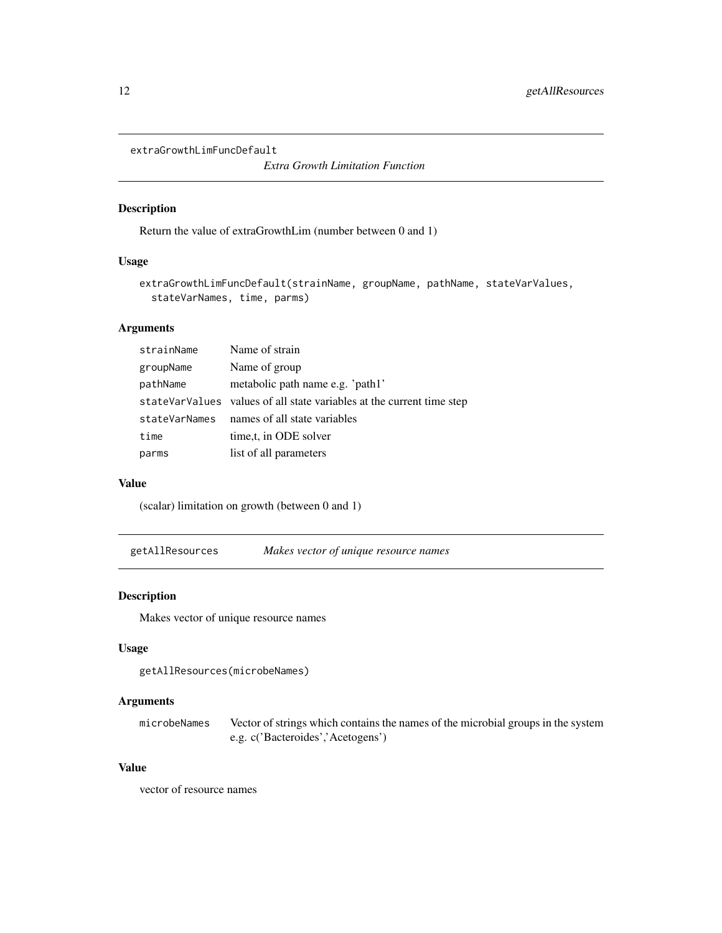<span id="page-11-0"></span>extraGrowthLimFuncDefault

*Extra Growth Limitation Function*

#### Description

Return the value of extraGrowthLim (number between 0 and 1)

### Usage

```
extraGrowthLimFuncDefault(strainName, groupName, pathName, stateVarValues,
  stateVarNames, time, parms)
```
### Arguments

| strainName    | Name of strain                                                        |
|---------------|-----------------------------------------------------------------------|
| groupName     | Name of group                                                         |
| pathName      | metabolic path name e.g. 'path1'                                      |
|               | stateVarValues values of all state variables at the current time step |
| stateVarNames | names of all state variables                                          |
| time          | time, t, in ODE solver                                                |
| parms         | list of all parameters                                                |

#### Value

(scalar) limitation on growth (between 0 and 1)

getAllResources *Makes vector of unique resource names*

### Description

Makes vector of unique resource names

### Usage

```
getAllResources(microbeNames)
```
### Arguments

microbeNames Vector of strings which contains the names of the microbial groups in the system e.g. c('Bacteroides','Acetogens')

### Value

vector of resource names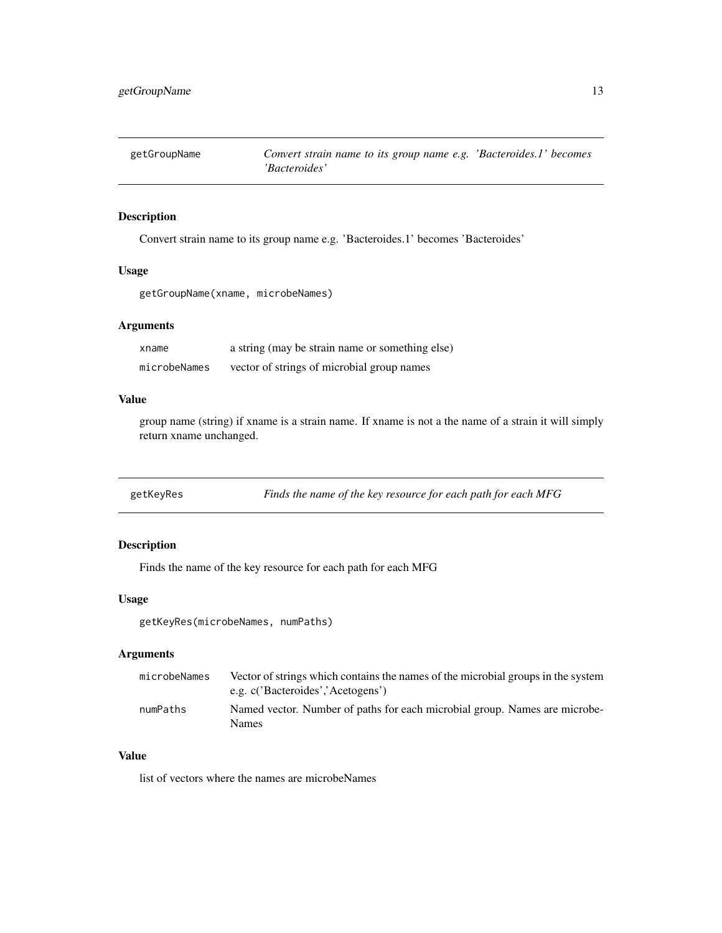<span id="page-12-0"></span>

Convert strain name to its group name e.g. 'Bacteroides.1' becomes 'Bacteroides'

### Usage

getGroupName(xname, microbeNames)

#### Arguments

| xname        | a string (may be strain name or something else) |
|--------------|-------------------------------------------------|
| microbeNames | vector of strings of microbial group names      |

#### Value

group name (string) if xname is a strain name. If xname is not a the name of a strain it will simply return xname unchanged.

| getKeyRes | Finds the name of the key resource for each path for each MFG |  |
|-----------|---------------------------------------------------------------|--|
|           |                                                               |  |

### Description

Finds the name of the key resource for each path for each MFG

#### Usage

getKeyRes(microbeNames, numPaths)

### Arguments

| microbeNames | Vector of strings which contains the names of the microbial groups in the system<br>e.g. c('Bacteroides','Acetogens') |
|--------------|-----------------------------------------------------------------------------------------------------------------------|
| numPaths     | Named vector. Number of paths for each microbial group. Names are microbe-<br><b>Names</b>                            |

### Value

list of vectors where the names are microbeNames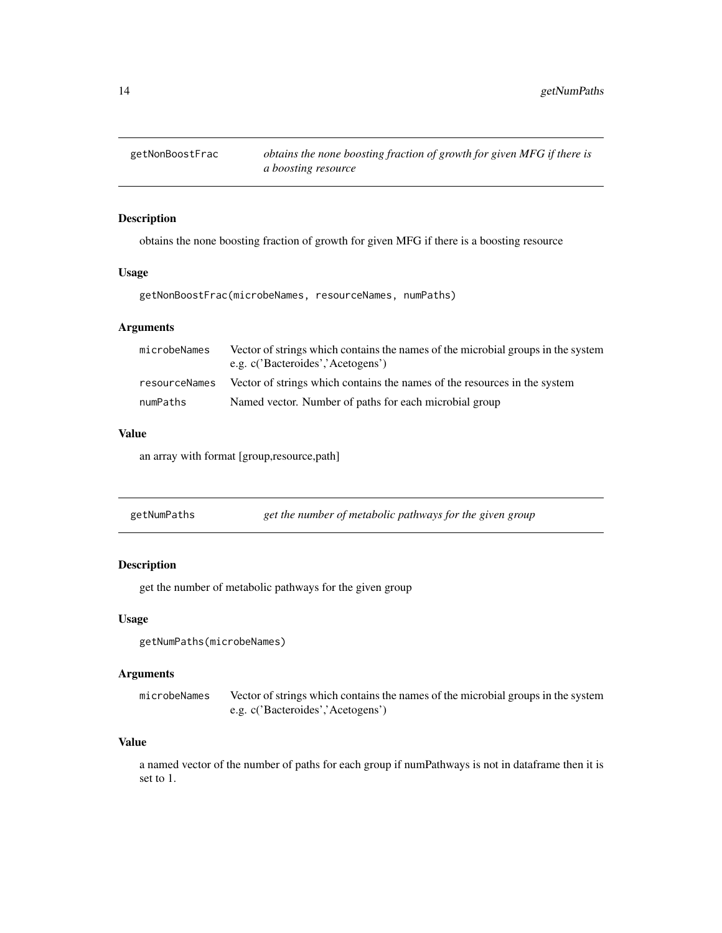<span id="page-13-0"></span>

obtains the none boosting fraction of growth for given MFG if there is a boosting resource

#### Usage

getNonBoostFrac(microbeNames, resourceNames, numPaths)

### Arguments

| microbeNames  | Vector of strings which contains the names of the microbial groups in the system<br>e.g. c('Bacteroides','Acetogens') |
|---------------|-----------------------------------------------------------------------------------------------------------------------|
| resourceNames | Vector of strings which contains the names of the resources in the system                                             |
| numPaths      | Named vector. Number of paths for each microbial group                                                                |

### Value

an array with format [group,resource,path]

| getNumPaths | get the number of metabolic pathways for the given group |  |
|-------------|----------------------------------------------------------|--|
|-------------|----------------------------------------------------------|--|

### Description

get the number of metabolic pathways for the given group

#### Usage

```
getNumPaths(microbeNames)
```
#### Arguments

microbeNames Vector of strings which contains the names of the microbial groups in the system e.g. c('Bacteroides','Acetogens')

### Value

a named vector of the number of paths for each group if numPathways is not in dataframe then it is set to 1.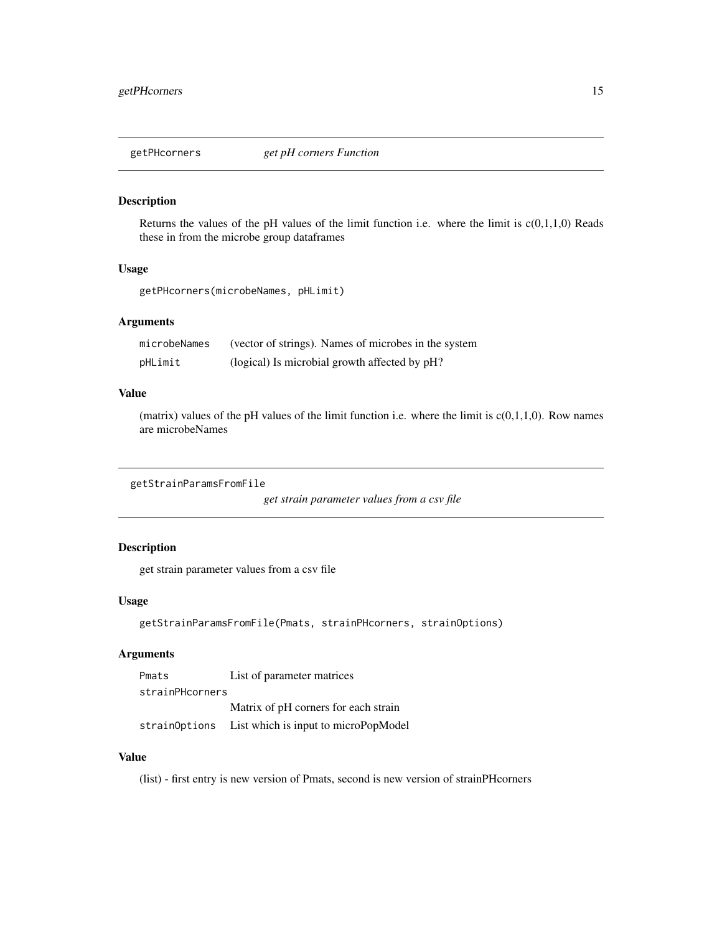<span id="page-14-0"></span>

Returns the values of the pH values of the limit function i.e. where the limit is  $c(0,1,1,0)$  Reads these in from the microbe group dataframes

#### Usage

getPHcorners(microbeNames, pHLimit)

#### Arguments

| microbeNames | (vector of strings). Names of microbes in the system |
|--------------|------------------------------------------------------|
| pHLimit      | (logical) Is microbial growth affected by pH?        |

#### Value

(matrix) values of the pH values of the limit function i.e. where the limit is  $c(0,1,1,0)$ . Row names are microbeNames

```
getStrainParamsFromFile
```
*get strain parameter values from a csv file*

### Description

get strain parameter values from a csv file

#### Usage

```
getStrainParamsFromFile(Pmats, strainPHcorners, strainOptions)
```
### Arguments

Pmats List of parameter matrices strainPHcorners Matrix of pH corners for each strain strainOptions List which is input to microPopModel

#### Value

(list) - first entry is new version of Pmats, second is new version of strainPHcorners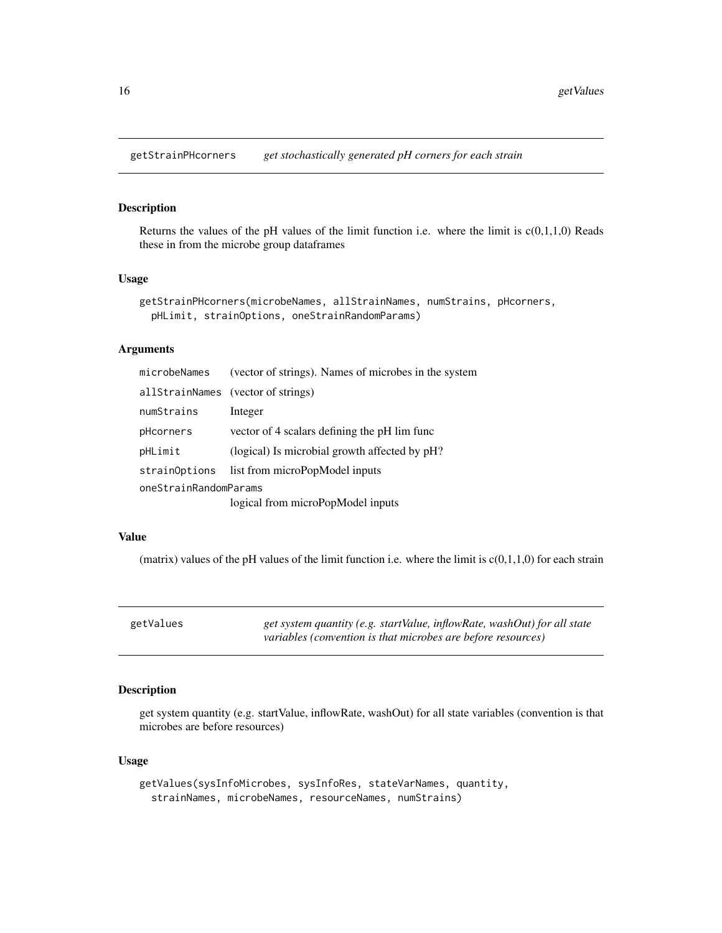<span id="page-15-0"></span>getStrainPHcorners *get stochastically generated pH corners for each strain*

### Description

Returns the values of the pH values of the limit function i.e. where the limit is  $c(0,1,1,0)$  Reads these in from the microbe group dataframes

#### Usage

```
getStrainPHcorners(microbeNames, allStrainNames, numStrains, pHcorners,
 pHLimit, strainOptions, oneStrainRandomParams)
```
### Arguments

| microbeNames          | (vector of strings). Names of microbes in the system |
|-----------------------|------------------------------------------------------|
|                       | allStrainNames (vector of strings)                   |
| numStrains            | Integer                                              |
| pHcorners             | vector of 4 scalars defining the pH lim func         |
| pHLimit               | (logical) Is microbial growth affected by pH?        |
| strainOptions         | list from microPopModel inputs                       |
| oneStrainRandomParams |                                                      |
|                       | logical from microPopModel inputs                    |

#### Value

(matrix) values of the pH values of the limit function i.e. where the limit is  $c(0,1,1,0)$  for each strain

| getValues | get system quantity (e.g. startValue, inflowRate, washOut) for all state |
|-----------|--------------------------------------------------------------------------|
|           | variables (convention is that microbes are before resources)             |

### Description

get system quantity (e.g. startValue, inflowRate, washOut) for all state variables (convention is that microbes are before resources)

#### Usage

```
getValues(sysInfoMicrobes, sysInfoRes, stateVarNames, quantity,
  strainNames, microbeNames, resourceNames, numStrains)
```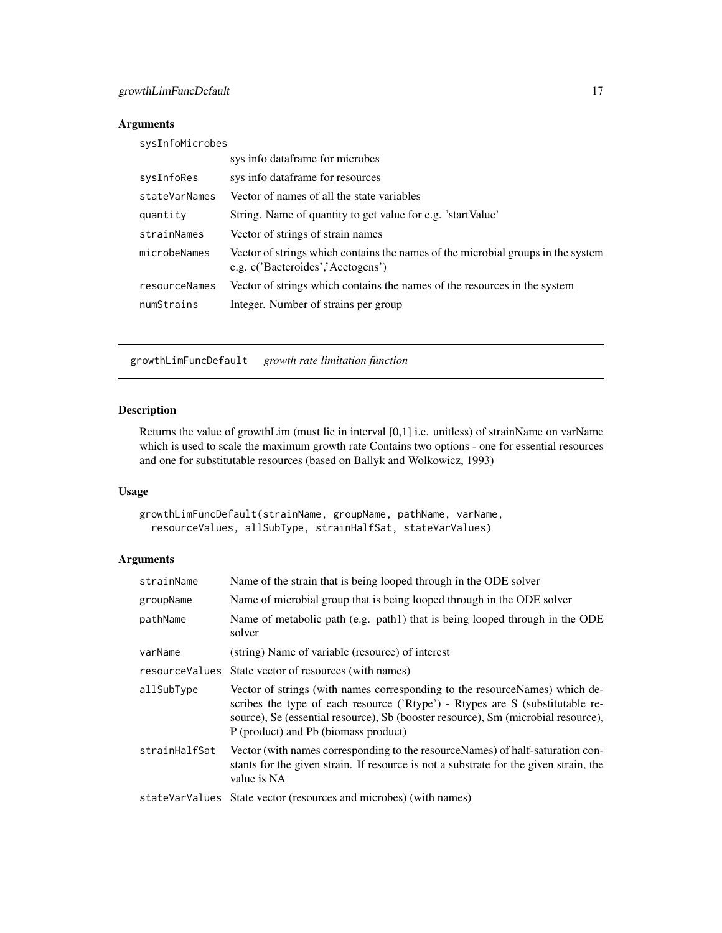#### <span id="page-16-0"></span>Arguments

| sysInfoMicrobes |                                                                                                                       |
|-----------------|-----------------------------------------------------------------------------------------------------------------------|
|                 | sys info dataframe for microbes                                                                                       |
| sysInfoRes      | sys info dataframe for resources                                                                                      |
| stateVarNames   | Vector of names of all the state variables                                                                            |
| quantity        | String. Name of quantity to get value for e.g. 'startValue'                                                           |
| strainNames     | Vector of strings of strain names                                                                                     |
| microbeNames    | Vector of strings which contains the names of the microbial groups in the system<br>e.g. c('Bacteroides','Acetogens') |
| resourceNames   | Vector of strings which contains the names of the resources in the system                                             |
| numStrains      | Integer. Number of strains per group                                                                                  |
|                 |                                                                                                                       |

growthLimFuncDefault *growth rate limitation function*

### Description

Returns the value of growthLim (must lie in interval [0,1] i.e. unitless) of strainName on varName which is used to scale the maximum growth rate Contains two options - one for essential resources and one for substitutable resources (based on Ballyk and Wolkowicz, 1993)

### Usage

```
growthLimFuncDefault(strainName, groupName, pathName, varName,
  resourceValues, allSubType, strainHalfSat, stateVarValues)
```
#### Arguments

| strainName    | Name of the strain that is being looped through in the ODE solver                                                                                                                                                                                                                         |
|---------------|-------------------------------------------------------------------------------------------------------------------------------------------------------------------------------------------------------------------------------------------------------------------------------------------|
| groupName     | Name of microbial group that is being looped through in the ODE solver                                                                                                                                                                                                                    |
| pathName      | Name of metabolic path (e.g. path) that is being looped through in the ODE<br>solver                                                                                                                                                                                                      |
| varName       | (string) Name of variable (resource) of interest                                                                                                                                                                                                                                          |
|               | resource Values State vector of resources (with names)                                                                                                                                                                                                                                    |
| allSubType    | Vector of strings (with names corresponding to the resourceNames) which de-<br>scribes the type of each resource ('Rtype') - Rtypes are S (substitutable re-<br>source), Se (essential resource), Sb (booster resource), Sm (microbial resource),<br>P (product) and Pb (biomass product) |
| strainHalfSat | Vector (with names corresponding to the resource Names) of half-saturation con-<br>stants for the given strain. If resource is not a substrate for the given strain, the<br>value is NA                                                                                                   |
|               | stateVarValues State vector (resources and microbes) (with names)                                                                                                                                                                                                                         |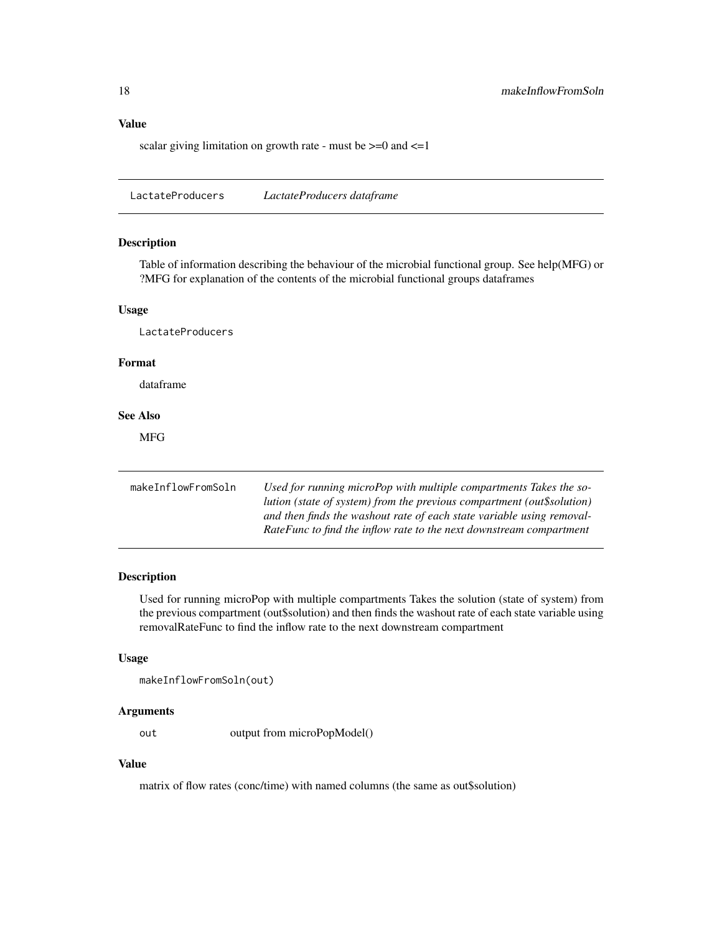### <span id="page-17-0"></span>Value

scalar giving limitation on growth rate - must be  $\geq 0$  and  $\leq 1$ 

LactateProducers *LactateProducers dataframe*

#### Description

Table of information describing the behaviour of the microbial functional group. See help(MFG) or ?MFG for explanation of the contents of the microbial functional groups dataframes

#### Usage

LactateProducers

### Format

dataframe

### See Also

MFG

| makeInflowFromSoln | Used for running microPop with multiple compartments Takes the so-<br>lution (state of system) from the previous compartment (out\$solution) |
|--------------------|----------------------------------------------------------------------------------------------------------------------------------------------|
|                    | and then finds the washout rate of each state variable using removal-<br>RateFunc to find the inflow rate to the next downstream compartment |

### Description

Used for running microPop with multiple compartments Takes the solution (state of system) from the previous compartment (out\$solution) and then finds the washout rate of each state variable using removalRateFunc to find the inflow rate to the next downstream compartment

#### Usage

```
makeInflowFromSoln(out)
```
#### Arguments

out output from microPopModel()

### Value

matrix of flow rates (conc/time) with named columns (the same as out\$solution)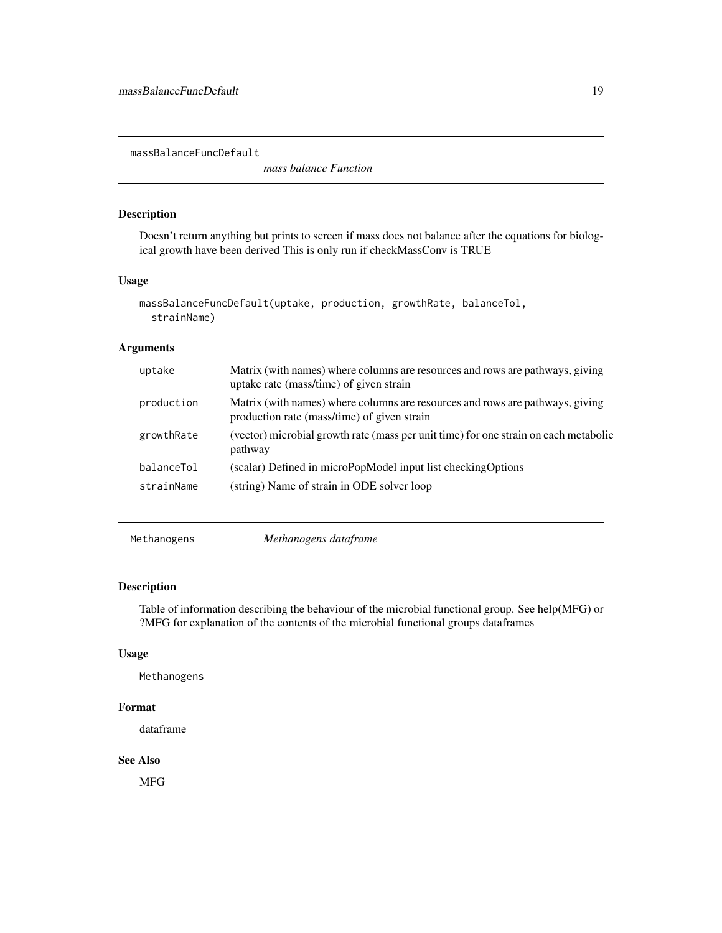<span id="page-18-0"></span>massBalanceFuncDefault

*mass balance Function*

### Description

Doesn't return anything but prints to screen if mass does not balance after the equations for biological growth have been derived This is only run if checkMassConv is TRUE

#### Usage

```
massBalanceFuncDefault(uptake, production, growthRate, balanceTol,
  strainName)
```
#### Arguments

| uptake     | Matrix (with names) where columns are resources and rows are pathways, giving<br>uptake rate (mass/time) of given strain     |
|------------|------------------------------------------------------------------------------------------------------------------------------|
| production | Matrix (with names) where columns are resources and rows are pathways, giving<br>production rate (mass/time) of given strain |
| growthRate | (vector) microbial growth rate (mass per unit time) for one strain on each metabolic<br>pathway                              |
| balanceTol | (scalar) Defined in microPopModel input list checkingOptions                                                                 |
| strainName | (string) Name of strain in ODE solver loop                                                                                   |

Methanogens *Methanogens dataframe*

#### Description

Table of information describing the behaviour of the microbial functional group. See help(MFG) or ?MFG for explanation of the contents of the microbial functional groups dataframes

### Usage

Methanogens

### Format

dataframe

#### See Also

MFG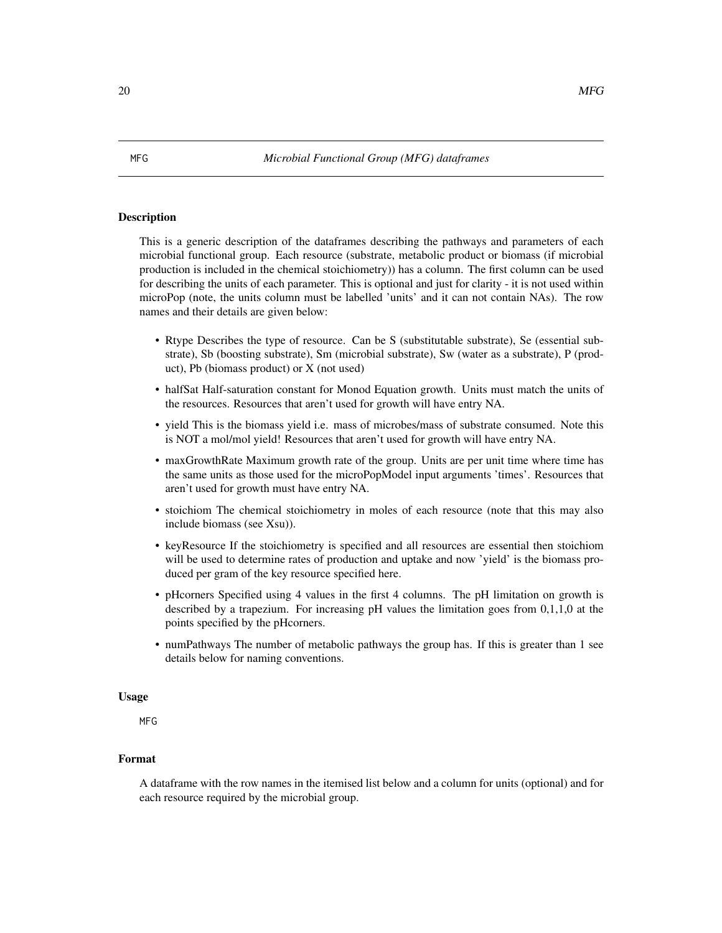<span id="page-19-0"></span>This is a generic description of the dataframes describing the pathways and parameters of each microbial functional group. Each resource (substrate, metabolic product or biomass (if microbial production is included in the chemical stoichiometry)) has a column. The first column can be used for describing the units of each parameter. This is optional and just for clarity - it is not used within microPop (note, the units column must be labelled 'units' and it can not contain NAs). The row names and their details are given below:

- Rtype Describes the type of resource. Can be S (substitutable substrate), Se (essential substrate), Sb (boosting substrate), Sm (microbial substrate), Sw (water as a substrate), P (product), Pb (biomass product) or X (not used)
- halfSat Half-saturation constant for Monod Equation growth. Units must match the units of the resources. Resources that aren't used for growth will have entry NA.
- yield This is the biomass yield i.e. mass of microbes/mass of substrate consumed. Note this is NOT a mol/mol yield! Resources that aren't used for growth will have entry NA.
- maxGrowthRate Maximum growth rate of the group. Units are per unit time where time has the same units as those used for the microPopModel input arguments 'times'. Resources that aren't used for growth must have entry NA.
- stoichiom The chemical stoichiometry in moles of each resource (note that this may also include biomass (see Xsu)).
- keyResource If the stoichiometry is specified and all resources are essential then stoichiom will be used to determine rates of production and uptake and now 'yield' is the biomass produced per gram of the key resource specified here.
- pHcorners Specified using 4 values in the first 4 columns. The pH limitation on growth is described by a trapezium. For increasing pH values the limitation goes from 0,1,1,0 at the points specified by the pHcorners.
- numPathways The number of metabolic pathways the group has. If this is greater than 1 see details below for naming conventions.

#### Usage

MFG

#### Format

A dataframe with the row names in the itemised list below and a column for units (optional) and for each resource required by the microbial group.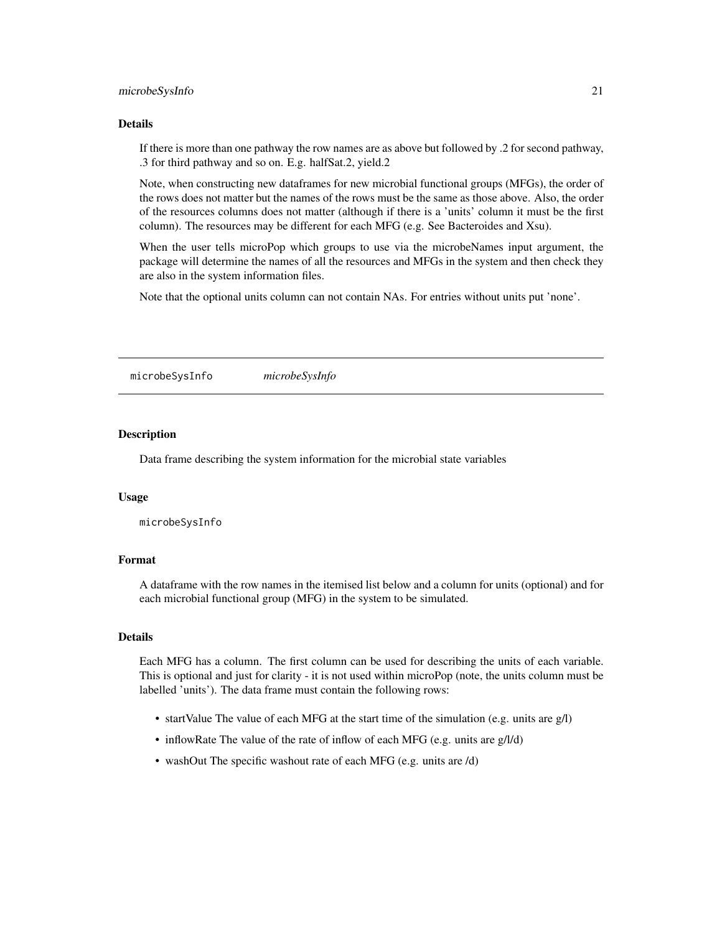#### <span id="page-20-0"></span>microbeSysInfo 21

#### Details

If there is more than one pathway the row names are as above but followed by .2 for second pathway, .3 for third pathway and so on. E.g. halfSat.2, yield.2

Note, when constructing new dataframes for new microbial functional groups (MFGs), the order of the rows does not matter but the names of the rows must be the same as those above. Also, the order of the resources columns does not matter (although if there is a 'units' column it must be the first column). The resources may be different for each MFG (e.g. See Bacteroides and Xsu).

When the user tells microPop which groups to use via the microbeNames input argument, the package will determine the names of all the resources and MFGs in the system and then check they are also in the system information files.

Note that the optional units column can not contain NAs. For entries without units put 'none'.

microbeSysInfo *microbeSysInfo*

#### **Description**

Data frame describing the system information for the microbial state variables

#### Usage

microbeSysInfo

#### Format

A dataframe with the row names in the itemised list below and a column for units (optional) and for each microbial functional group (MFG) in the system to be simulated.

#### Details

Each MFG has a column. The first column can be used for describing the units of each variable. This is optional and just for clarity - it is not used within microPop (note, the units column must be labelled 'units'). The data frame must contain the following rows:

- startValue The value of each MFG at the start time of the simulation (e.g. units are g/l)
- inflowRate The value of the rate of inflow of each MFG (e.g. units are g/l/d)
- washOut The specific washout rate of each MFG (e.g. units are /d)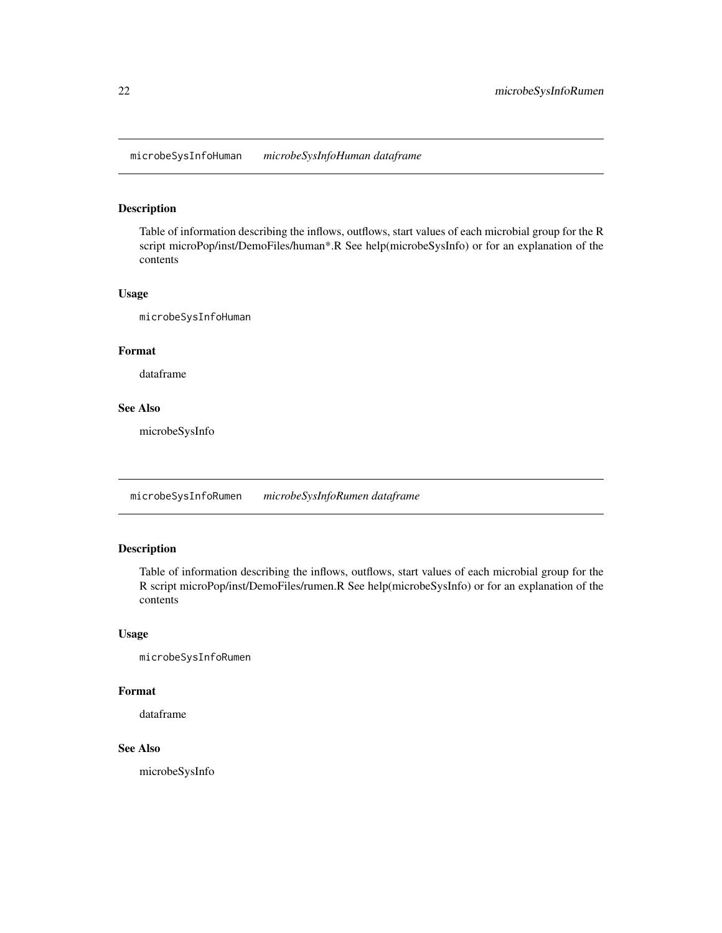<span id="page-21-0"></span>microbeSysInfoHuman *microbeSysInfoHuman dataframe*

### Description

Table of information describing the inflows, outflows, start values of each microbial group for the R script microPop/inst/DemoFiles/human\*.R See help(microbeSysInfo) or for an explanation of the contents

#### Usage

microbeSysInfoHuman

#### Format

dataframe

### See Also

microbeSysInfo

microbeSysInfoRumen *microbeSysInfoRumen dataframe*

### Description

Table of information describing the inflows, outflows, start values of each microbial group for the R script microPop/inst/DemoFiles/rumen.R See help(microbeSysInfo) or for an explanation of the contents

### Usage

```
microbeSysInfoRumen
```
#### Format

dataframe

#### See Also

microbeSysInfo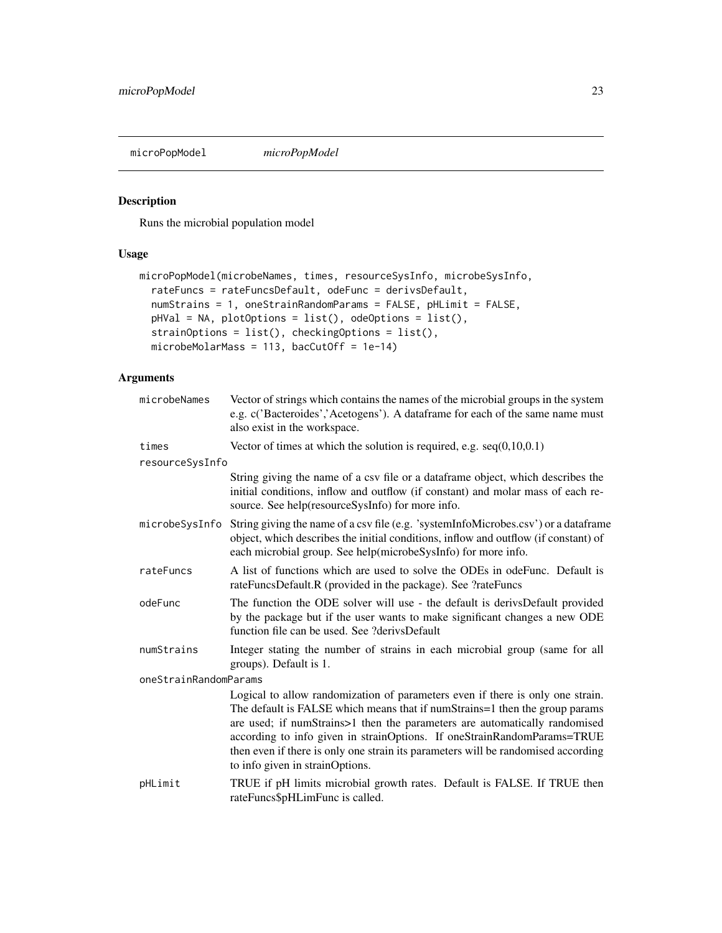<span id="page-22-0"></span>microPopModel *microPopModel*

### Description

Runs the microbial population model

### Usage

```
microPopModel(microbeNames, times, resourceSysInfo, microbeSysInfo,
  rateFuncs = rateFuncsDefault, odeFunc = derivsDefault,
 numStrains = 1, oneStrainRandomParams = FALSE, pHLimit = FALSE,
 pHVal = NA, plotOptions = list(), odeOptions = list(),
  strainOptions = list(), checkingOptions = list(),
 microbeMolarMass = 113, bacCutOff = 1e-14)
```
### Arguments

| microbeNames          | Vector of strings which contains the names of the microbial groups in the system<br>e.g. c('Bacteroides','Acetogens'). A dataframe for each of the same name must<br>also exist in the workspace.                                                                                                                                                                                                                                              |
|-----------------------|------------------------------------------------------------------------------------------------------------------------------------------------------------------------------------------------------------------------------------------------------------------------------------------------------------------------------------------------------------------------------------------------------------------------------------------------|
| times                 | Vector of times at which the solution is required, e.g. $seq(0,10,0.1)$                                                                                                                                                                                                                                                                                                                                                                        |
| resourceSysInfo       |                                                                                                                                                                                                                                                                                                                                                                                                                                                |
|                       | String giving the name of a csv file or a dataframe object, which describes the<br>initial conditions, inflow and outflow (if constant) and molar mass of each re-<br>source. See help(resourceSysInfo) for more info.                                                                                                                                                                                                                         |
| microbeSysInfo        | String giving the name of a csv file (e.g. 'systemInfoMicrobes.csv') or a dataframe<br>object, which describes the initial conditions, inflow and outflow (if constant) of<br>each microbial group. See help(microbeSysInfo) for more info.                                                                                                                                                                                                    |
| rateFuncs             | A list of functions which are used to solve the ODEs in odeFunc. Default is<br>rateFuncsDefault.R (provided in the package). See ?rateFuncs                                                                                                                                                                                                                                                                                                    |
| odeFunc               | The function the ODE solver will use - the default is derivsDefault provided<br>by the package but if the user wants to make significant changes a new ODE<br>function file can be used. See ?derivsDefault                                                                                                                                                                                                                                    |
| numStrains            | Integer stating the number of strains in each microbial group (same for all<br>groups). Default is 1.                                                                                                                                                                                                                                                                                                                                          |
| oneStrainRandomParams |                                                                                                                                                                                                                                                                                                                                                                                                                                                |
|                       | Logical to allow randomization of parameters even if there is only one strain.<br>The default is FALSE which means that if numStrains=1 then the group params<br>are used; if numStrains>1 then the parameters are automatically randomised<br>according to info given in strainOptions. If oneStrainRandomParams=TRUE<br>then even if there is only one strain its parameters will be randomised according<br>to info given in strainOptions. |
| pHLimit               | TRUE if pH limits microbial growth rates. Default is FALSE. If TRUE then<br>rateFuncs\$pHLimFunc is called.                                                                                                                                                                                                                                                                                                                                    |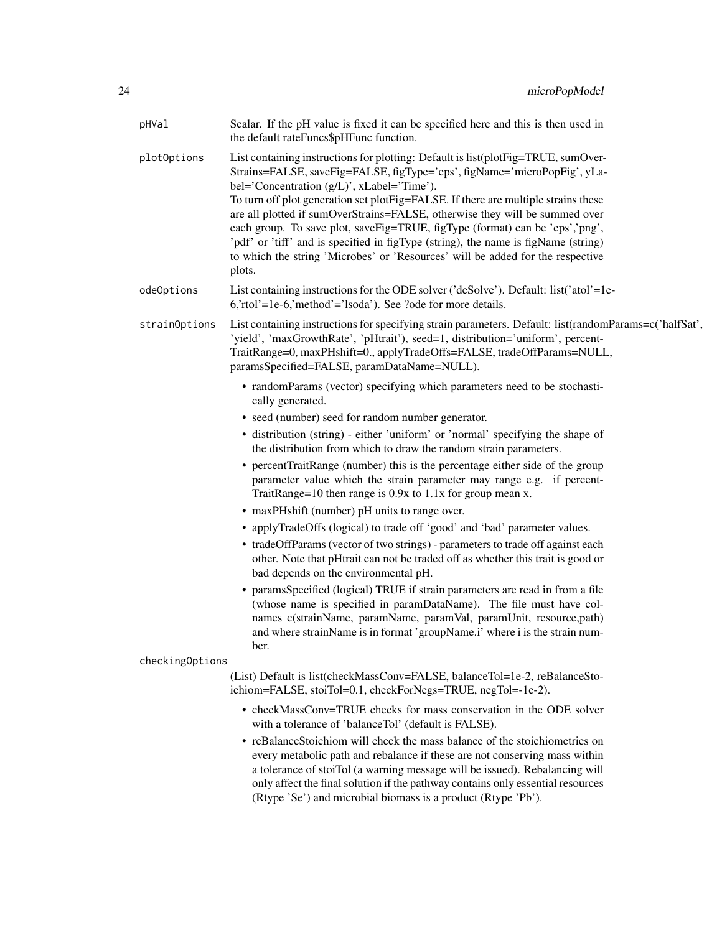| pHVal           | Scalar. If the pH value is fixed it can be specified here and this is then used in<br>the default rateFuncs\$pHFunc function.                                                                                                                                                                                                                                                                                                                                                                                                                                                                                                                      |
|-----------------|----------------------------------------------------------------------------------------------------------------------------------------------------------------------------------------------------------------------------------------------------------------------------------------------------------------------------------------------------------------------------------------------------------------------------------------------------------------------------------------------------------------------------------------------------------------------------------------------------------------------------------------------------|
| plot0ptions     | List containing instructions for plotting: Default is list(plotFig=TRUE, sumOver-<br>Strains=FALSE, saveFig=FALSE, figType='eps', figName='microPopFig', yLa-<br>bel='Concentration (g/L)', xLabel='Time').<br>To turn off plot generation set plotFig=FALSE. If there are multiple strains these<br>are all plotted if sumOverStrains=FALSE, otherwise they will be summed over<br>each group. To save plot, saveFig=TRUE, figType (format) can be 'eps','png',<br>'pdf' or 'tiff' and is specified in figType (string), the name is figName (string)<br>to which the string 'Microbes' or 'Resources' will be added for the respective<br>plots. |
| odeOptions      | List containing instructions for the ODE solver ('deSolve'). Default: list('atol'=1e-<br>$6$ , rtol'=1e-6, 'method'='lsoda'). See ?ode for more details.                                                                                                                                                                                                                                                                                                                                                                                                                                                                                           |
| strainOptions   | List containing instructions for specifying strain parameters. Default: list (random Params=c('halfSat',<br>'yield', 'maxGrowthRate', 'pHtrait'), seed=1, distribution='uniform', percent-<br>TraitRange=0, maxPHshift=0., applyTradeOffs=FALSE, tradeOffParams=NULL,<br>paramsSpecified=FALSE, paramDataName=NULL).                                                                                                                                                                                                                                                                                                                               |
|                 | • randomParams (vector) specifying which parameters need to be stochasti-<br>cally generated.                                                                                                                                                                                                                                                                                                                                                                                                                                                                                                                                                      |
|                 | • seed (number) seed for random number generator.                                                                                                                                                                                                                                                                                                                                                                                                                                                                                                                                                                                                  |
|                 | • distribution (string) - either 'uniform' or 'normal' specifying the shape of<br>the distribution from which to draw the random strain parameters.                                                                                                                                                                                                                                                                                                                                                                                                                                                                                                |
|                 | • percentTraitRange (number) this is the percentage either side of the group<br>parameter value which the strain parameter may range e.g. if percent-<br>TraitRange=10 then range is $0.9x$ to $1.1x$ for group mean x.                                                                                                                                                                                                                                                                                                                                                                                                                            |
|                 | • maxPHshift (number) pH units to range over.                                                                                                                                                                                                                                                                                                                                                                                                                                                                                                                                                                                                      |
|                 | • applyTradeOffs (logical) to trade off 'good' and 'bad' parameter values.                                                                                                                                                                                                                                                                                                                                                                                                                                                                                                                                                                         |
|                 | • tradeOffParams (vector of two strings) - parameters to trade off against each<br>other. Note that pHtrait can not be traded off as whether this trait is good or<br>bad depends on the environmental pH.                                                                                                                                                                                                                                                                                                                                                                                                                                         |
|                 | • paramsSpecified (logical) TRUE if strain parameters are read in from a file<br>(whose name is specified in paramDataName). The file must have col-<br>names c(strainName, paramName, paramVal, paramUnit, resource,path)<br>and where strainName is in format 'groupName.i' where i is the strain num-<br>ber.                                                                                                                                                                                                                                                                                                                                   |
| checkingOptions |                                                                                                                                                                                                                                                                                                                                                                                                                                                                                                                                                                                                                                                    |
|                 | (List) Default is list(checkMassConv=FALSE, balanceTol=1e-2, reBalanceSto-<br>ichiom=FALSE, stoiTol=0.1, checkForNegs=TRUE, negTol=-1e-2).                                                                                                                                                                                                                                                                                                                                                                                                                                                                                                         |
|                 | • checkMassConv=TRUE checks for mass conservation in the ODE solver<br>with a tolerance of 'balanceTol' (default is FALSE).                                                                                                                                                                                                                                                                                                                                                                                                                                                                                                                        |
|                 | • reBalanceStoichiom will check the mass balance of the stoichiometries on<br>every metabolic path and rebalance if these are not conserving mass within<br>a tolerance of stoiTol (a warning message will be issued). Rebalancing will<br>only affect the final solution if the pathway contains only essential resources<br>(Rtype 'Se') and microbial biomass is a product (Rtype 'Pb').                                                                                                                                                                                                                                                        |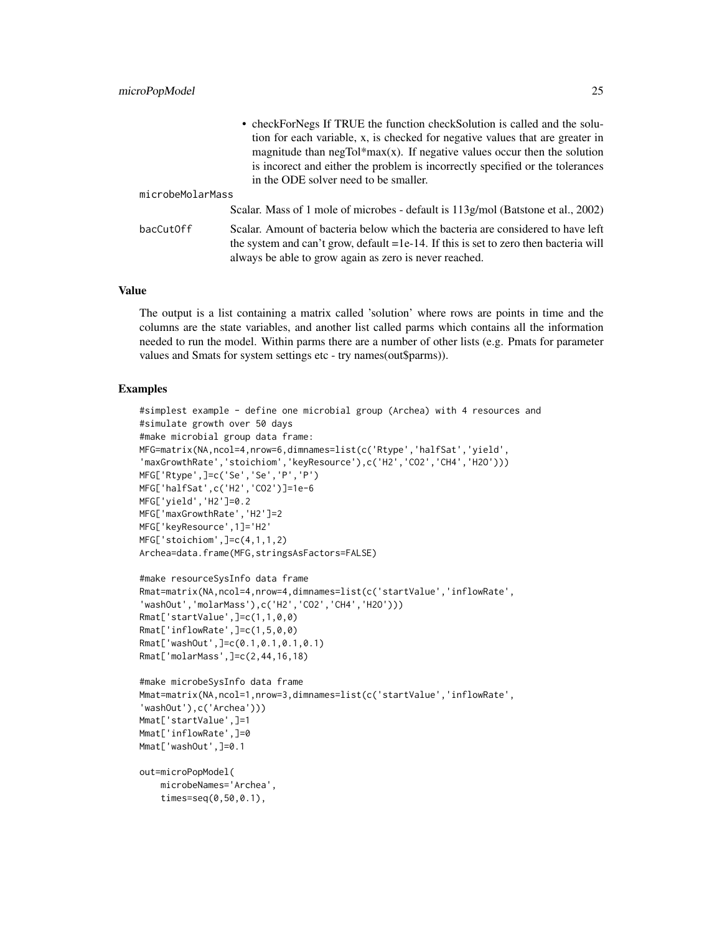|                  | • checkForNegs If TRUE the function checkSolution is called and the solu-               |  |
|------------------|-----------------------------------------------------------------------------------------|--|
|                  | tion for each variable, x, is checked for negative values that are greater in           |  |
|                  | magnitude than $negTol*max(x)$ . If negative values occur then the solution             |  |
|                  | is incorect and either the problem is incorrectly specified or the tolerances           |  |
|                  | in the ODE solver need to be smaller.                                                   |  |
| microbeMolarMass |                                                                                         |  |
|                  | Scalar. Mass of 1 mole of microbes - default is 113g/mol (Batstone et al., 2002)        |  |
| bacCutOff        | Scalar. Amount of bacteria below which the bacteria are considered to have left         |  |
|                  | the system and can't grow, default $=1e-14$ . If this is set to zero then bacteria will |  |
|                  | always be able to grow again as zero is never reached.                                  |  |

#### Value

The output is a list containing a matrix called 'solution' where rows are points in time and the columns are the state variables, and another list called parms which contains all the information needed to run the model. Within parms there are a number of other lists (e.g. Pmats for parameter values and Smats for system settings etc - try names(out\$parms)).

#### Examples

```
#simplest example - define one microbial group (Archea) with 4 resources and
#simulate growth over 50 days
#make microbial group data frame:
MFG=matrix(NA,ncol=4,nrow=6,dimnames=list(c('Rtype','halfSat','yield',
'maxGrowthRate','stoichiom','keyResource'),c('H2','CO2','CH4','H2O')))
MFG['Rtype',]=c('Se','Se','P','P')
MFG['halfSat',c('H2','CO2')]=1e-6
MFG['yield','H2']=0.2
MFG['maxGrowthRate','H2']=2
MFG['keyResource',1]='H2'
MFG['stoichiom',]=c(4,1,1,2)
Archea=data.frame(MFG,stringsAsFactors=FALSE)
#make resourceSysInfo data frame
```

```
Rmat=matrix(NA,ncol=4,nrow=4,dimnames=list(c('startValue','inflowRate',
'washOut','molarMass'),c('H2','CO2','CH4','H2O')))
Rmat['startValue',]=c(1,1,0,0)
Rmat['inflowRate',]=c(1,5,0,0)
Rmat['washOut',]=c(0.1,0.1,0.1,0.1)
Rmat['molarMass',]=c(2,44,16,18)
```

```
#make microbeSysInfo data frame
Mmat=matrix(NA,ncol=1,nrow=3,dimnames=list(c('startValue','inflowRate',
'washOut'),c('Archea')))
Mmat['startValue',]=1
Mmat['inflowRate',]=0
Mmat['washOut',]=0.1
```

```
out=microPopModel(
   microbeNames='Archea',
    times=seq(0,50,0.1),
```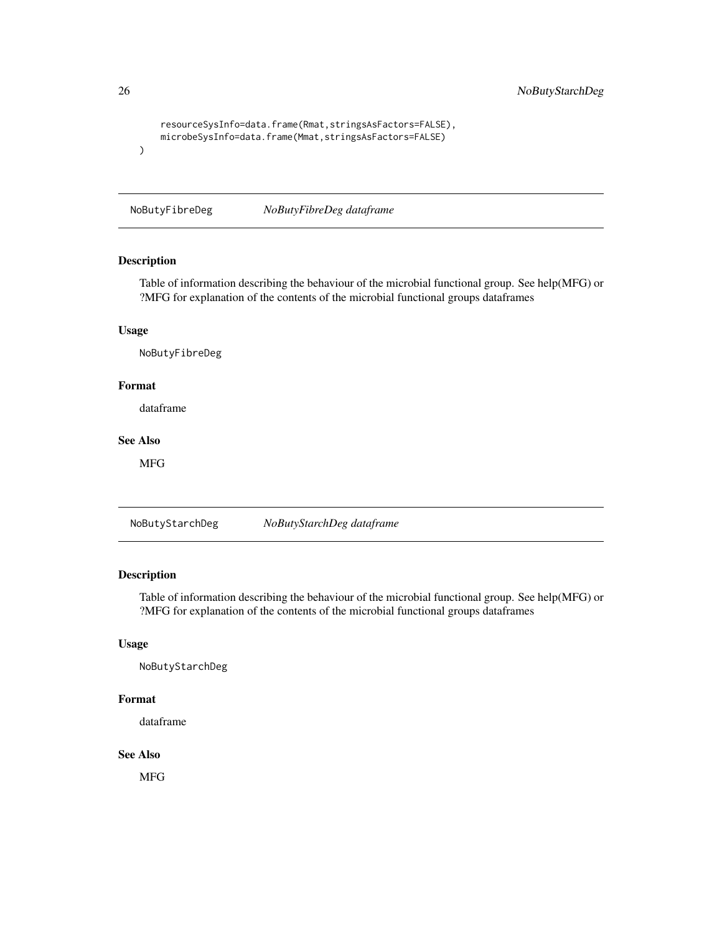```
resourceSysInfo=data.frame(Rmat,stringsAsFactors=FALSE),
   microbeSysInfo=data.frame(Mmat,stringsAsFactors=FALSE)
)
```
NoButyFibreDeg *NoButyFibreDeg dataframe*

### Description

Table of information describing the behaviour of the microbial functional group. See help(MFG) or ?MFG for explanation of the contents of the microbial functional groups dataframes

### Usage

NoButyFibreDeg

#### Format

dataframe

### See Also

MFG

NoButyStarchDeg *NoButyStarchDeg dataframe*

#### Description

Table of information describing the behaviour of the microbial functional group. See help(MFG) or ?MFG for explanation of the contents of the microbial functional groups dataframes

#### Usage

NoButyStarchDeg

### Format

dataframe

#### See Also

MFG

<span id="page-25-0"></span>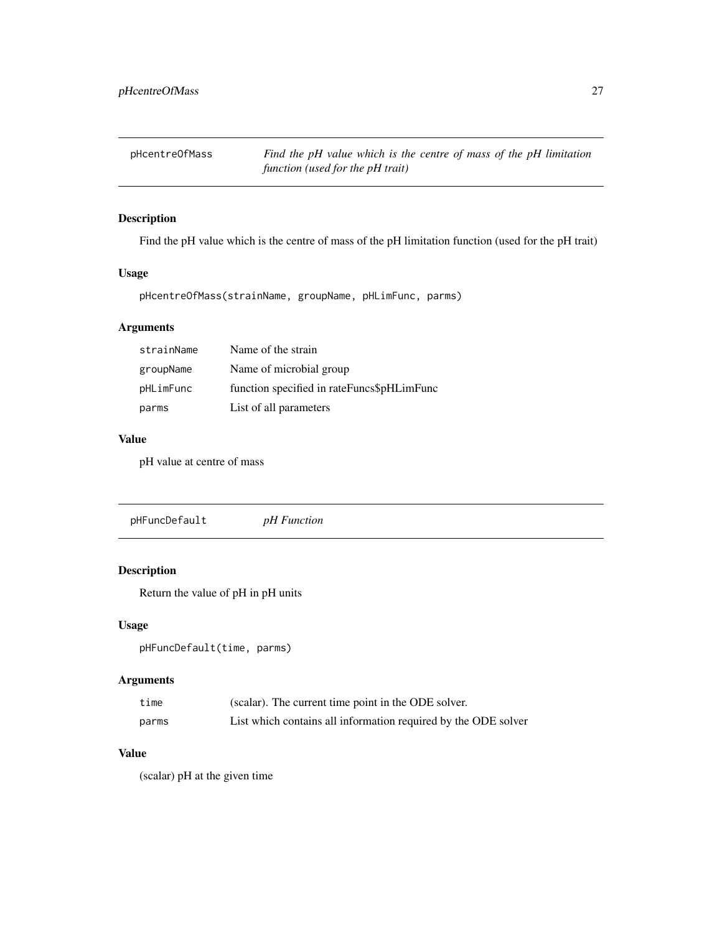<span id="page-26-0"></span>

Find the pH value which is the centre of mass of the pH limitation function (used for the pH trait)

### Usage

pHcentreOfMass(strainName, groupName, pHLimFunc, parms)

### Arguments

| strainName | Name of the strain                         |
|------------|--------------------------------------------|
| groupName  | Name of microbial group                    |
| pHLimFunc  | function specified in rateFuncs\$pHLimFunc |
| parms      | List of all parameters                     |

#### Value

pH value at centre of mass

pHFuncDefault *pH Function*

### Description

Return the value of pH in pH units

#### Usage

pHFuncDefault(time, parms)

### Arguments

| time  | (scalar). The current time point in the ODE solver.            |
|-------|----------------------------------------------------------------|
| parms | List which contains all information required by the ODE solver |

### Value

(scalar) pH at the given time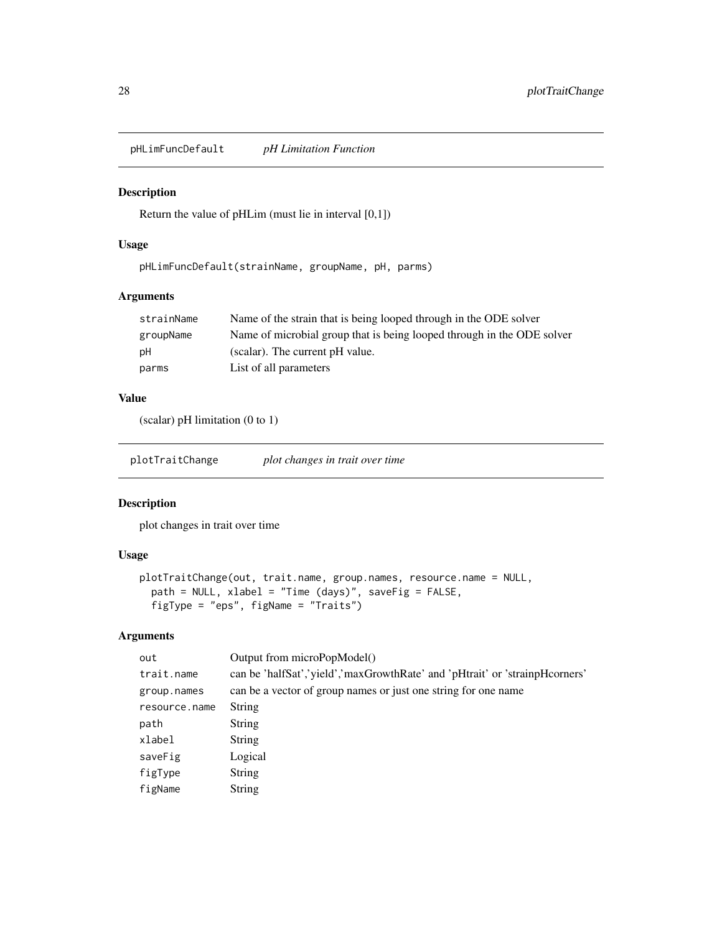<span id="page-27-0"></span>pHLimFuncDefault *pH Limitation Function*

### Description

Return the value of pHLim (must lie in interval [0,1])

#### Usage

```
pHLimFuncDefault(strainName, groupName, pH, parms)
```
### Arguments

| strainName | Name of the strain that is being looped through in the ODE solver      |
|------------|------------------------------------------------------------------------|
| groupName  | Name of microbial group that is being looped through in the ODE solver |
| pH         | (scalar). The current pH value.                                        |
| parms      | List of all parameters                                                 |

### Value

(scalar) pH limitation (0 to 1)

plotTraitChange *plot changes in trait over time*

### Description

plot changes in trait over time

### Usage

```
plotTraitChange(out, trait.name, group.names, resource.name = NULL,
 path = NULL, xlabel = "Time (days)", saveFig = FALSE,
 figType = "eps", figName = "Traits")
```
### Arguments

| out           | Output from microPopModel()                                                 |
|---------------|-----------------------------------------------------------------------------|
| trait.name    | can be 'halfSat','yield','maxGrowthRate' and 'pHtrait' or 'strainpHcorners' |
| group.names   | can be a vector of group names or just one string for one name              |
| resource.name | <b>String</b>                                                               |
| path          | <b>String</b>                                                               |
| xlabel        | String                                                                      |
| saveFig       | Logical                                                                     |
| figType       | String                                                                      |
| figName       | <b>String</b>                                                               |
|               |                                                                             |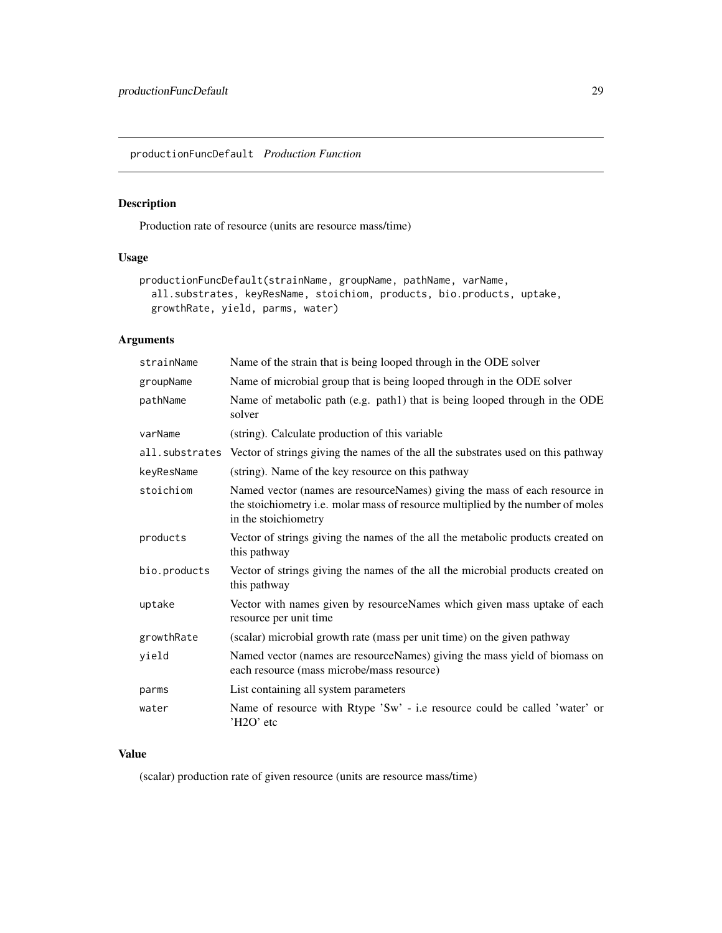<span id="page-28-0"></span>productionFuncDefault *Production Function*

### Description

Production rate of resource (units are resource mass/time)

### Usage

```
productionFuncDefault(strainName, groupName, pathName, varName,
  all.substrates, keyResName, stoichiom, products, bio.products, uptake,
 growthRate, yield, parms, water)
```
### Arguments

| strainName   | Name of the strain that is being looped through in the ODE solver                                                                                                                     |
|--------------|---------------------------------------------------------------------------------------------------------------------------------------------------------------------------------------|
| groupName    | Name of microbial group that is being looped through in the ODE solver                                                                                                                |
| pathName     | Name of metabolic path (e.g. path1) that is being looped through in the ODE<br>solver                                                                                                 |
| varName      | (string). Calculate production of this variable                                                                                                                                       |
|              | all. substrates Vector of strings giving the names of the all the substrates used on this pathway                                                                                     |
| keyResName   | (string). Name of the key resource on this pathway                                                                                                                                    |
| stoichiom    | Named vector (names are resourceNames) giving the mass of each resource in<br>the stoichiometry i.e. molar mass of resource multiplied by the number of moles<br>in the stoichiometry |
| products     | Vector of strings giving the names of the all the metabolic products created on<br>this pathway                                                                                       |
| bio.products | Vector of strings giving the names of the all the microbial products created on<br>this pathway                                                                                       |
| uptake       | Vector with names given by resourceNames which given mass uptake of each<br>resource per unit time                                                                                    |
| growthRate   | (scalar) microbial growth rate (mass per unit time) on the given pathway                                                                                                              |
| yield        | Named vector (names are resourceNames) giving the mass yield of biomass on<br>each resource (mass microbe/mass resource)                                                              |
| parms        | List containing all system parameters                                                                                                                                                 |
| water        | Name of resource with Rtype 'Sw' - i.e resource could be called 'water' or<br>'H2O' etc                                                                                               |

### Value

(scalar) production rate of given resource (units are resource mass/time)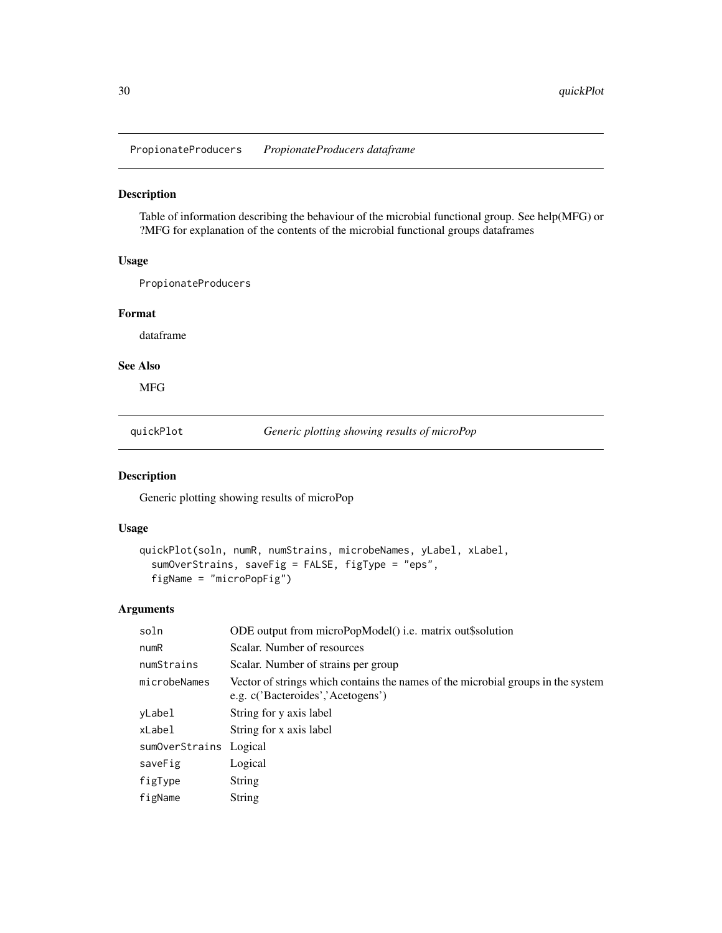<span id="page-29-0"></span>PropionateProducers *PropionateProducers dataframe*

### Description

Table of information describing the behaviour of the microbial functional group. See help(MFG) or ?MFG for explanation of the contents of the microbial functional groups dataframes

#### Usage

PropionateProducers

#### Format

dataframe

### See Also

MFG

quickPlot *Generic plotting showing results of microPop*

### Description

Generic plotting showing results of microPop

#### Usage

```
quickPlot(soln, numR, numStrains, microbeNames, yLabel, xLabel,
  sumOverStrains, saveFig = FALSE, figType = "eps",
 figName = "microPopFig")
```
### Arguments

| soln                   | ODE output from microPopModel() i.e. matrix out\$solution                                                             |
|------------------------|-----------------------------------------------------------------------------------------------------------------------|
| numR                   | Scalar. Number of resources                                                                                           |
| numStrains             | Scalar. Number of strains per group                                                                                   |
| microbeNames           | Vector of strings which contains the names of the microbial groups in the system<br>e.g. c('Bacteroides','Acetogens') |
| yLabel                 | String for y axis label                                                                                               |
| xLabel                 | String for x axis label                                                                                               |
| sumOverStrains Logical |                                                                                                                       |
| saveFig                | Logical                                                                                                               |
| figType                | <b>String</b>                                                                                                         |
| figName                | <b>String</b>                                                                                                         |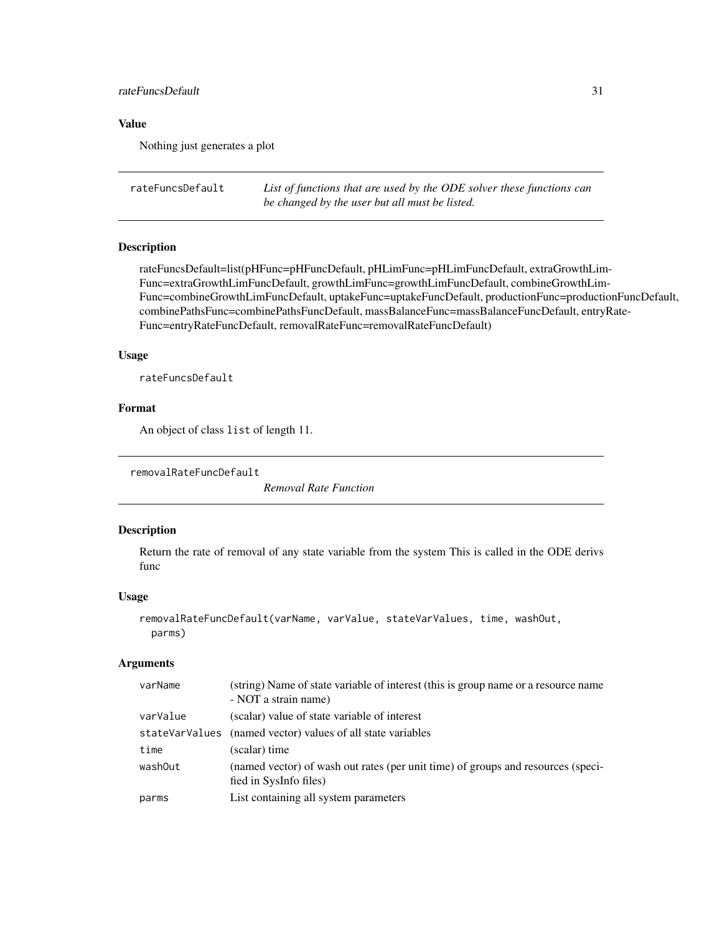### <span id="page-30-0"></span>rateFuncsDefault 31

### Value

Nothing just generates a plot

```
rateFuncsDefault List of functions that are used by the ODE solver these functions can
                         be changed by the user but all must be listed.
```
#### Description

rateFuncsDefault=list(pHFunc=pHFuncDefault, pHLimFunc=pHLimFuncDefault, extraGrowthLim-Func=extraGrowthLimFuncDefault, growthLimFunc=growthLimFuncDefault, combineGrowthLim-Func=combineGrowthLimFuncDefault, uptakeFunc=uptakeFuncDefault, productionFunc=productionFuncDefault, combinePathsFunc=combinePathsFuncDefault, massBalanceFunc=massBalanceFuncDefault, entryRate-Func=entryRateFuncDefault, removalRateFunc=removalRateFuncDefault)

#### Usage

rateFuncsDefault

### Format

An object of class list of length 11.

```
removalRateFuncDefault
```
*Removal Rate Function*

#### Description

Return the rate of removal of any state variable from the system This is called in the ODE derivs func

#### Usage

```
removalRateFuncDefault(varName, varValue, stateVarValues, time, washOut,
 parms)
```
#### Arguments

| varName  | (string) Name of state variable of interest (this is group name or a resource name<br>- NOT a strain name) |
|----------|------------------------------------------------------------------------------------------------------------|
| varValue | (scalar) value of state variable of interest                                                               |
|          | stateVarValues (named vector) values of all state variables                                                |
| time     | (scalar) time                                                                                              |
| washOut  | (named vector) of wash out rates (per unit time) of groups and resources (speci-<br>fied in SysInfo files) |
| parms    | List containing all system parameters                                                                      |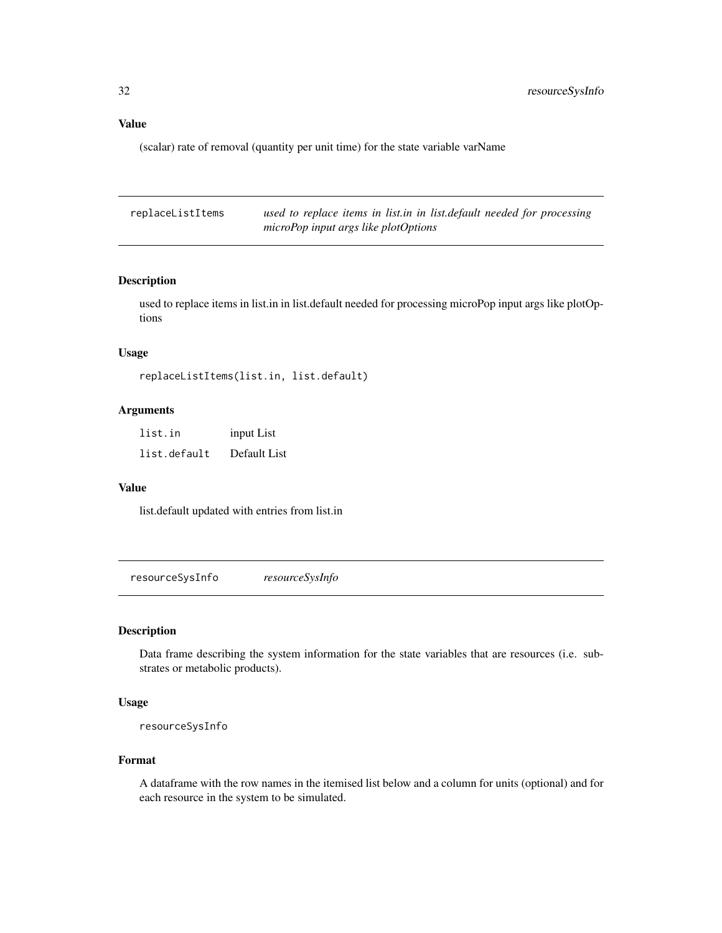### <span id="page-31-0"></span>Value

(scalar) rate of removal (quantity per unit time) for the state variable varName

| replaceListItems | used to replace items in list in in list default needed for processing |
|------------------|------------------------------------------------------------------------|
|                  | microPop input args like plotOptions                                   |

### Description

used to replace items in list.in in list.default needed for processing microPop input args like plotOptions

#### Usage

replaceListItems(list.in, list.default)

#### Arguments

| list.in      | input List   |
|--------------|--------------|
| list.default | Default List |

#### Value

list.default updated with entries from list.in

resourceSysInfo *resourceSysInfo*

#### Description

Data frame describing the system information for the state variables that are resources (i.e. substrates or metabolic products).

#### Usage

```
resourceSysInfo
```
#### Format

A dataframe with the row names in the itemised list below and a column for units (optional) and for each resource in the system to be simulated.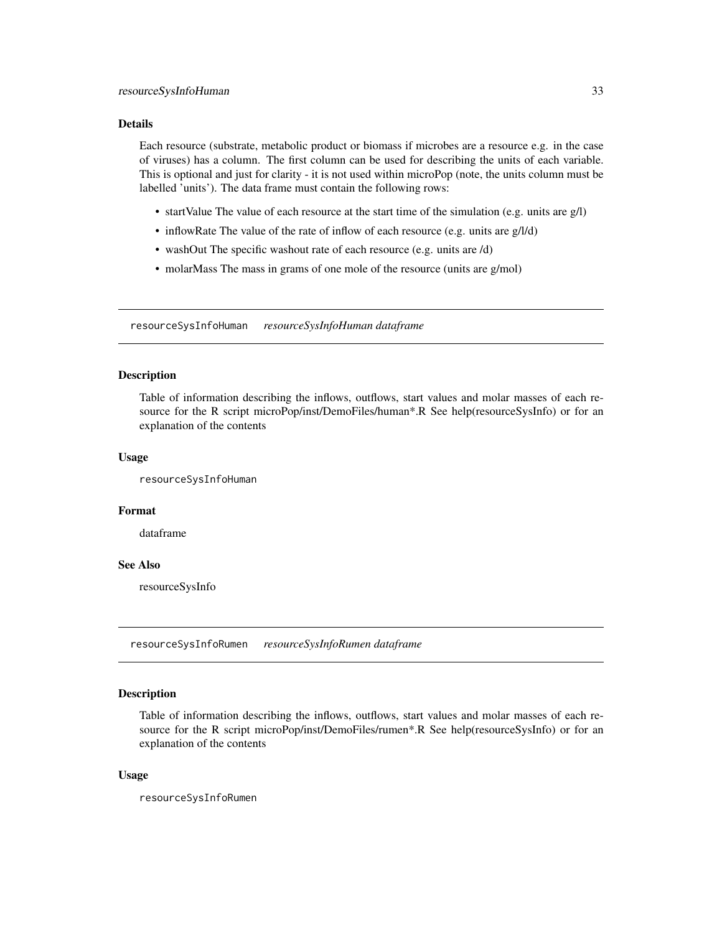#### <span id="page-32-0"></span>Details

Each resource (substrate, metabolic product or biomass if microbes are a resource e.g. in the case of viruses) has a column. The first column can be used for describing the units of each variable. This is optional and just for clarity - it is not used within microPop (note, the units column must be labelled 'units'). The data frame must contain the following rows:

- startValue The value of each resource at the start time of the simulation (e.g. units are g/l)
- inflowRate The value of the rate of inflow of each resource (e.g. units are g/l/d)
- washOut The specific washout rate of each resource (e.g. units are /d)
- molarMass The mass in grams of one mole of the resource (units are g/mol)

resourceSysInfoHuman *resourceSysInfoHuman dataframe*

#### Description

Table of information describing the inflows, outflows, start values and molar masses of each resource for the R script microPop/inst/DemoFiles/human\*.R See help(resourceSysInfo) or for an explanation of the contents

#### Usage

resourceSysInfoHuman

#### Format

dataframe

#### See Also

resourceSysInfo

resourceSysInfoRumen *resourceSysInfoRumen dataframe*

#### Description

Table of information describing the inflows, outflows, start values and molar masses of each resource for the R script microPop/inst/DemoFiles/rumen\*.R See help(resourceSysInfo) or for an explanation of the contents

#### Usage

resourceSysInfoRumen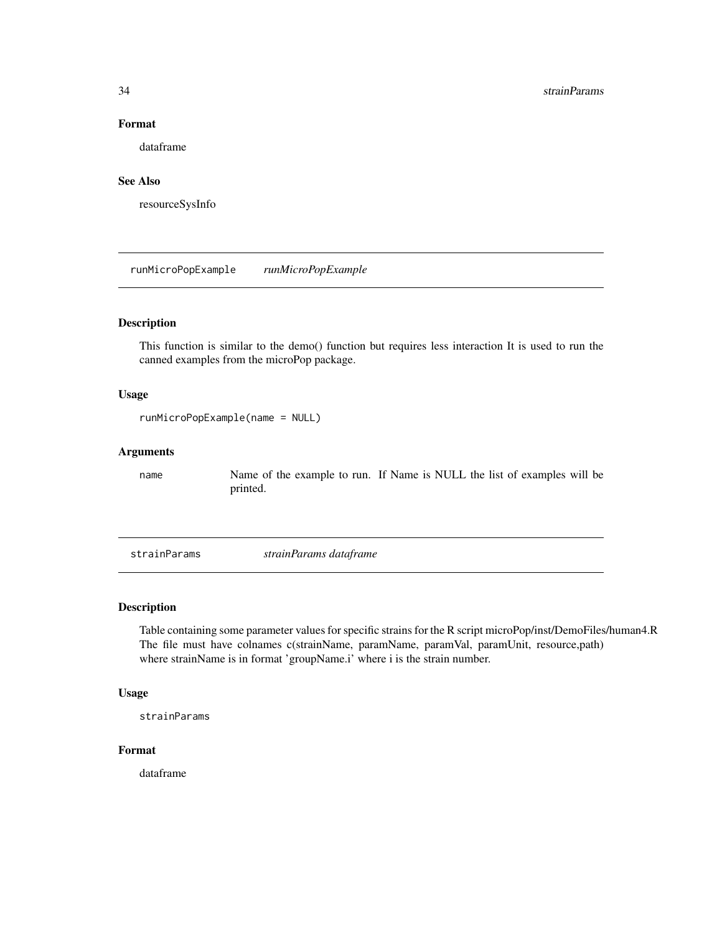### Format

dataframe

### See Also

resourceSysInfo

runMicroPopExample *runMicroPopExample*

### Description

This function is similar to the demo() function but requires less interaction It is used to run the canned examples from the microPop package.

### Usage

runMicroPopExample(name = NULL)

#### Arguments

name Name of the example to run. If Name is NULL the list of examples will be printed.

strainParams *strainParams dataframe*

### Description

Table containing some parameter values for specific strains for the R script microPop/inst/DemoFiles/human4.R The file must have colnames c(strainName, paramName, paramVal, paramUnit, resource,path) where strainName is in format 'groupName.i' where i is the strain number.

#### Usage

```
strainParams
```
#### Format

dataframe

<span id="page-33-0"></span>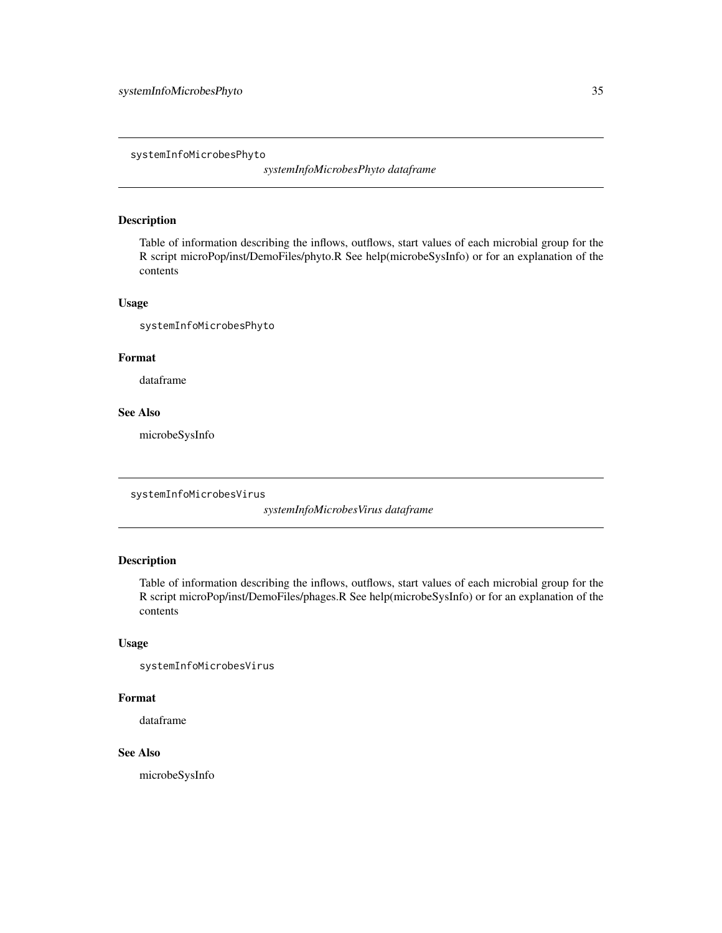<span id="page-34-0"></span>systemInfoMicrobesPhyto

*systemInfoMicrobesPhyto dataframe*

### Description

Table of information describing the inflows, outflows, start values of each microbial group for the R script microPop/inst/DemoFiles/phyto.R See help(microbeSysInfo) or for an explanation of the contents

### Usage

systemInfoMicrobesPhyto

### Format

dataframe

#### See Also

microbeSysInfo

systemInfoMicrobesVirus

*systemInfoMicrobesVirus dataframe*

### Description

Table of information describing the inflows, outflows, start values of each microbial group for the R script microPop/inst/DemoFiles/phages.R See help(microbeSysInfo) or for an explanation of the contents

#### Usage

systemInfoMicrobesVirus

#### Format

dataframe

### See Also

microbeSysInfo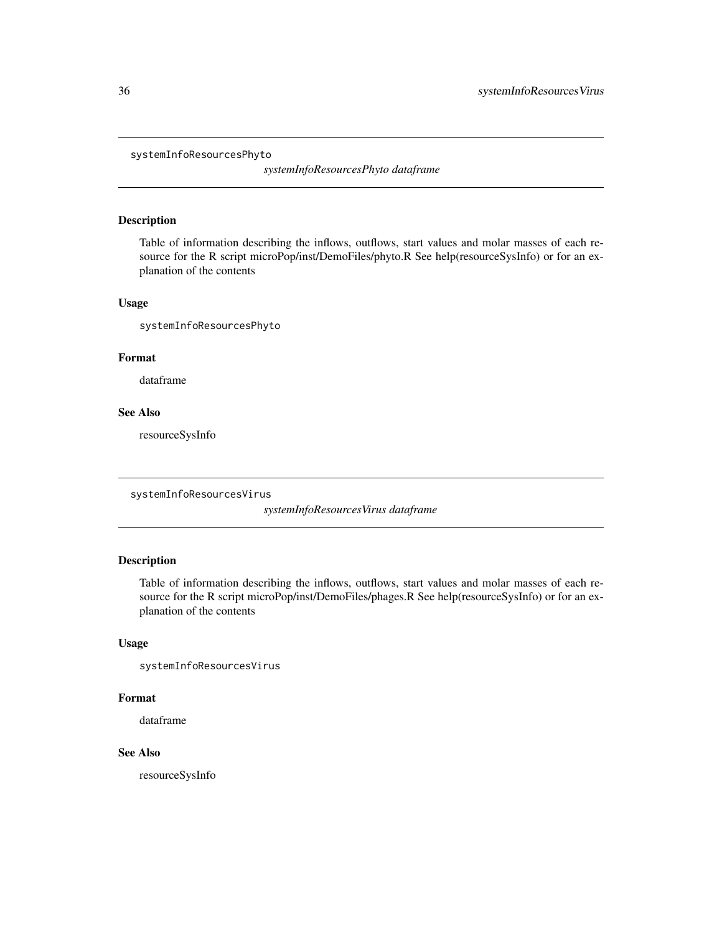<span id="page-35-0"></span>systemInfoResourcesPhyto

*systemInfoResourcesPhyto dataframe*

#### Description

Table of information describing the inflows, outflows, start values and molar masses of each resource for the R script microPop/inst/DemoFiles/phyto.R See help(resourceSysInfo) or for an explanation of the contents

#### Usage

systemInfoResourcesPhyto

### Format

dataframe

#### See Also

resourceSysInfo

systemInfoResourcesVirus

*systemInfoResourcesVirus dataframe*

### Description

Table of information describing the inflows, outflows, start values and molar masses of each resource for the R script microPop/inst/DemoFiles/phages.R See help(resourceSysInfo) or for an explanation of the contents

#### Usage

systemInfoResourcesVirus

#### Format

dataframe

### See Also

resourceSysInfo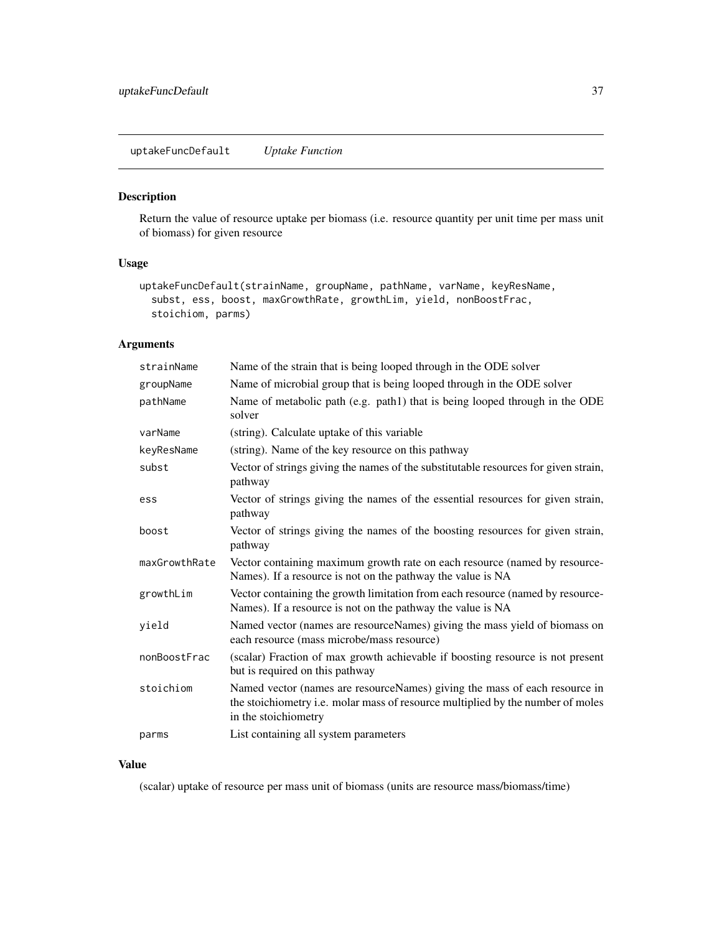<span id="page-36-0"></span>uptakeFuncDefault *Uptake Function*

#### Description

Return the value of resource uptake per biomass (i.e. resource quantity per unit time per mass unit of biomass) for given resource

#### Usage

```
uptakeFuncDefault(strainName, groupName, pathName, varName, keyResName,
  subst, ess, boost, maxGrowthRate, growthLim, yield, nonBoostFrac,
  stoichiom, parms)
```
### Arguments

| strainName    | Name of the strain that is being looped through in the ODE solver                                                                                                                     |
|---------------|---------------------------------------------------------------------------------------------------------------------------------------------------------------------------------------|
| groupName     | Name of microbial group that is being looped through in the ODE solver                                                                                                                |
| pathName      | Name of metabolic path (e.g. path1) that is being looped through in the ODE<br>solver                                                                                                 |
| varName       | (string). Calculate uptake of this variable                                                                                                                                           |
| keyResName    | (string). Name of the key resource on this pathway                                                                                                                                    |
| subst         | Vector of strings giving the names of the substitutable resources for given strain,<br>pathway                                                                                        |
| ess           | Vector of strings giving the names of the essential resources for given strain,<br>pathway                                                                                            |
| boost         | Vector of strings giving the names of the boosting resources for given strain,<br>pathway                                                                                             |
| maxGrowthRate | Vector containing maximum growth rate on each resource (named by resource-<br>Names). If a resource is not on the pathway the value is NA                                             |
| growthLim     | Vector containing the growth limitation from each resource (named by resource-<br>Names). If a resource is not on the pathway the value is NA                                         |
| yield         | Named vector (names are resourceNames) giving the mass yield of biomass on<br>each resource (mass microbe/mass resource)                                                              |
| nonBoostFrac  | (scalar) Fraction of max growth achievable if boosting resource is not present<br>but is required on this pathway                                                                     |
| stoichiom     | Named vector (names are resourceNames) giving the mass of each resource in<br>the stoichiometry i.e. molar mass of resource multiplied by the number of moles<br>in the stoichiometry |
| parms         | List containing all system parameters                                                                                                                                                 |

### Value

(scalar) uptake of resource per mass unit of biomass (units are resource mass/biomass/time)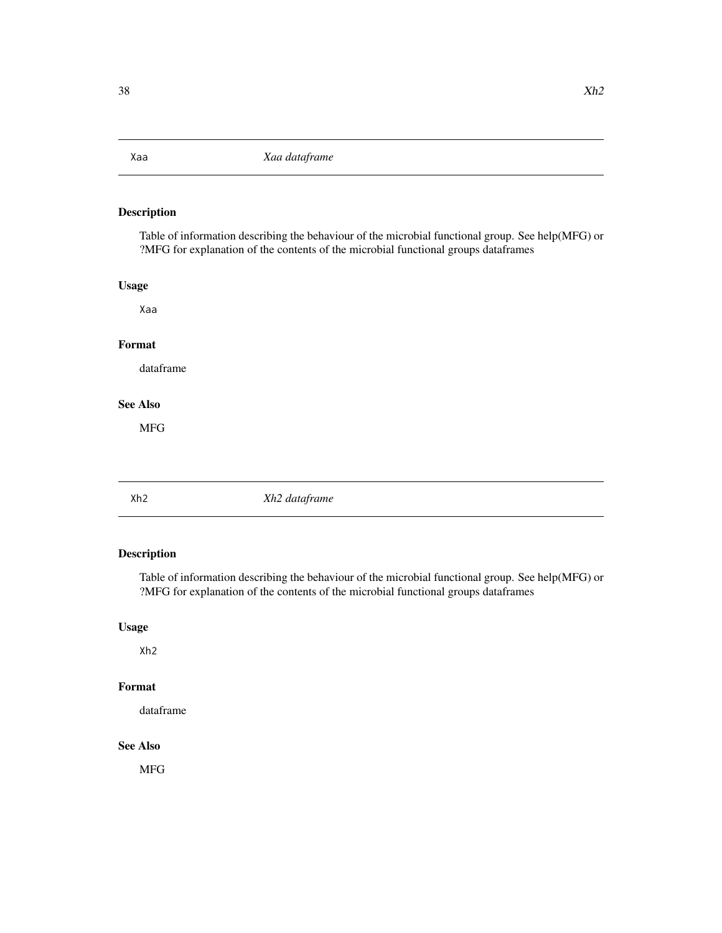<span id="page-37-0"></span>

Table of information describing the behaviour of the microbial functional group. See help(MFG) or ?MFG for explanation of the contents of the microbial functional groups dataframes

### Usage

Xaa

### Format

dataframe

### See Also

MFG

### Xh2 *Xh2 dataframe*

### Description

Table of information describing the behaviour of the microbial functional group. See help(MFG) or ?MFG for explanation of the contents of the microbial functional groups dataframes

### Usage

Xh2

### Format

dataframe

#### See Also

MFG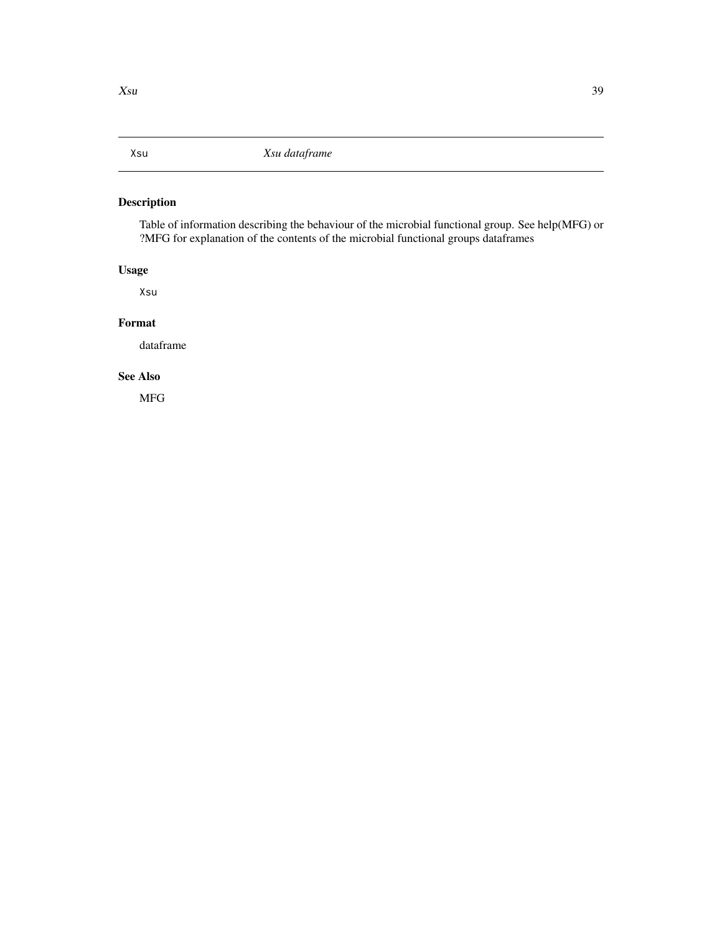<span id="page-38-0"></span>Table of information describing the behaviour of the microbial functional group. See help(MFG) or ?MFG for explanation of the contents of the microbial functional groups dataframes

### Usage

Xsu

#### Format

dataframe

### See Also

MFG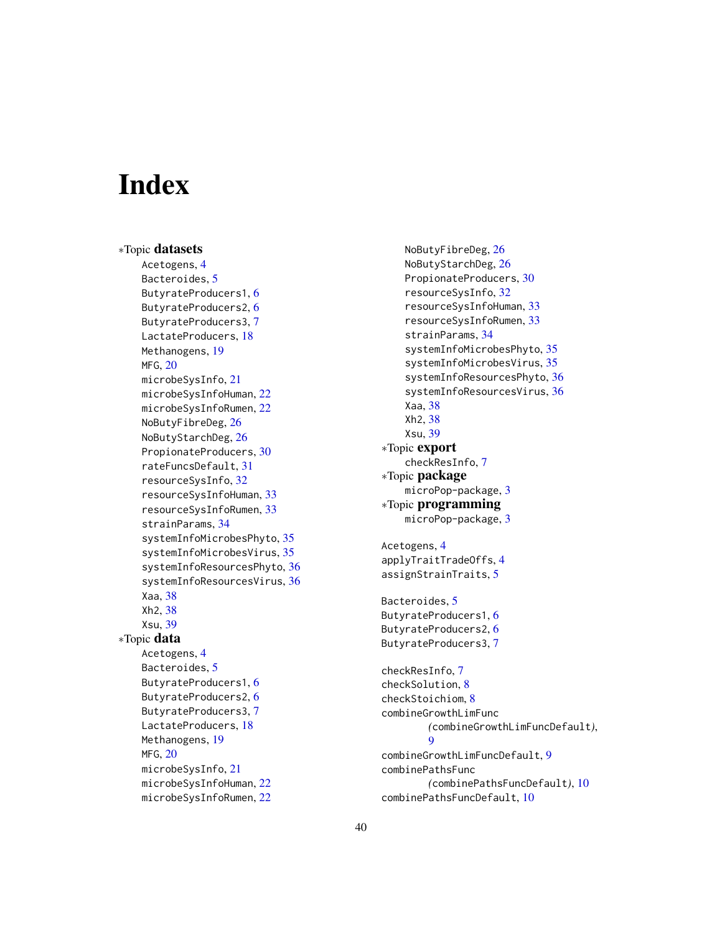# <span id="page-39-0"></span>**Index**

∗Topic datasets Acetogens, [4](#page-3-0) Bacteroides, [5](#page-4-0) ButyrateProducers1, [6](#page-5-0) ButyrateProducers2, [6](#page-5-0) ButyrateProducers3, [7](#page-6-0) LactateProducers, [18](#page-17-0) Methanogens, [19](#page-18-0) MFG, [20](#page-19-0) microbeSysInfo, [21](#page-20-0) microbeSysInfoHuman, [22](#page-21-0) microbeSysInfoRumen, [22](#page-21-0) NoButyFibreDeg, [26](#page-25-0) NoButyStarchDeg, [26](#page-25-0) PropionateProducers, [30](#page-29-0) rateFuncsDefault, [31](#page-30-0) resourceSysInfo, [32](#page-31-0) resourceSysInfoHuman, [33](#page-32-0) resourceSysInfoRumen, [33](#page-32-0) strainParams, [34](#page-33-0) systemInfoMicrobesPhyto, [35](#page-34-0) systemInfoMicrobesVirus, [35](#page-34-0) systemInfoResourcesPhyto, [36](#page-35-0) systemInfoResourcesVirus, [36](#page-35-0) Xaa, [38](#page-37-0) Xh2, [38](#page-37-0) Xsu, [39](#page-38-0) ∗Topic data Acetogens, [4](#page-3-0) Bacteroides, [5](#page-4-0) ButyrateProducers1, [6](#page-5-0) ButyrateProducers2, [6](#page-5-0) ButyrateProducers3, [7](#page-6-0) LactateProducers, [18](#page-17-0) Methanogens, [19](#page-18-0) MFG, [20](#page-19-0) microbeSysInfo, [21](#page-20-0) microbeSysInfoHuman, [22](#page-21-0) microbeSysInfoRumen, [22](#page-21-0)

NoButyFibreDeg, [26](#page-25-0) NoButyStarchDeg, [26](#page-25-0) PropionateProducers, [30](#page-29-0) resourceSysInfo, [32](#page-31-0) resourceSysInfoHuman, [33](#page-32-0) resourceSysInfoRumen, [33](#page-32-0) strainParams, [34](#page-33-0) systemInfoMicrobesPhyto, [35](#page-34-0) systemInfoMicrobesVirus, [35](#page-34-0) systemInfoResourcesPhyto, [36](#page-35-0) systemInfoResourcesVirus, [36](#page-35-0) Xaa, [38](#page-37-0) Xh2, [38](#page-37-0) Xsu, [39](#page-38-0) ∗Topic export checkResInfo, [7](#page-6-0) ∗Topic package microPop-package, [3](#page-2-0) ∗Topic programming microPop-package, [3](#page-2-0) Acetogens, [4](#page-3-0) applyTraitTradeOffs, [4](#page-3-0) assignStrainTraits, [5](#page-4-0) Bacteroides, [5](#page-4-0) ButyrateProducers1, [6](#page-5-0) ButyrateProducers2, [6](#page-5-0) ButyrateProducers3, [7](#page-6-0) checkResInfo, [7](#page-6-0) checkSolution, [8](#page-7-0) checkStoichiom, [8](#page-7-0) combineGrowthLimFunc *(*combineGrowthLimFuncDefault*)*, [9](#page-8-0) combineGrowthLimFuncDefault, [9](#page-8-0) combinePathsFunc *(*combinePathsFuncDefault*)*, [10](#page-9-0) combinePathsFuncDefault, [10](#page-9-0)